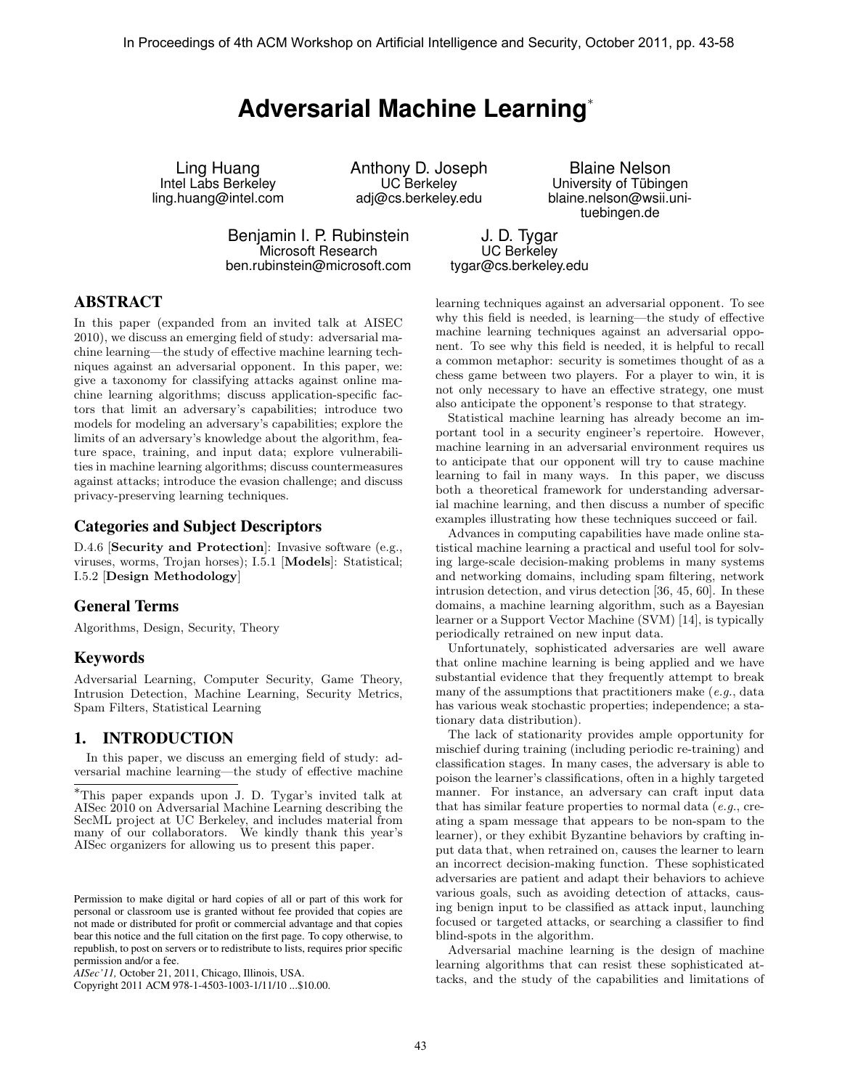# **Adversarial Machine Learning**<sup>∗</sup>

Ling Huang Intel Labs Berkeley ling.huang@intel.com Anthony D. Joseph UC Berkeley adj@cs.berkeley.edu

Blaine Nelson University of Tübingen blaine.nelson@wsii.unituebingen.de

Benjamin I. P. Rubinstein Microsoft Research ben.rubinstein@microsoft.com

J. D. Tygar UC Berkeley tygar@cs.berkeley.edu

# **ABSTRACT**

In this paper (expanded from an invited talk at AISEC 2010), we discuss an emerging field of study: adversarial machine learning—the study of effective machine learning techniques against an adversarial opponent. In this paper, we: give a taxonomy for classifying attacks against online machine learning algorithms; discuss application-specific factors that limit an adversary's capabilities; introduce two models for modeling an adversary's capabilities; explore the limits of an adversary's knowledge about the algorithm, feature space, training, and input data; explore vulnerabilities in machine learning algorithms; discuss countermeasures against attacks; introduce the evasion challenge; and discuss privacy-preserving learning techniques.

# **Categories and Subject Descriptors**

D.4.6 **[Security and Protection**]: Invasive software (e.g., viruses, worms, Trojan horses); I.5.1 [Models]: Statistical; I.5.2 [Design Methodology]

## **General Terms**

Algorithms, Design, Security, Theory

## **Keywords**

Adversarial Learning, Computer Security, Game Theory, Intrusion Detection, Machine Learning, Security Metrics, Spam Filters, Statistical Learning

## **1. INTRODUCTION**

In this paper, we discuss an emerging field of study: adversarial machine learning—the study of effective machine

Copyright 2011 ACM 978-1-4503-1003-1/11/10 ...\$10.00.

learning techniques against an adversarial opponent. To see why this field is needed, is learning—the study of effective machine learning techniques against an adversarial opponent. To see why this field is needed, it is helpful to recall a common metaphor: security is sometimes thought of as a chess game between two players. For a player to win, it is not only necessary to have an effective strategy, one must also anticipate the opponent's response to that strategy.

Statistical machine learning has already become an important tool in a security engineer's repertoire. However, machine learning in an adversarial environment requires us to anticipate that our opponent will try to cause machine learning to fail in many ways. In this paper, we discuss both a theoretical framework for understanding adversarial machine learning, and then discuss a number of specific examples illustrating how these techniques succeed or fail.

Advances in computing capabilities have made online statistical machine learning a practical and useful tool for solving large-scale decision-making problems in many systems and networking domains, including spam filtering, network intrusion detection, and virus detection [36, 45, 60]. In these domains, a machine learning algorithm, such as a Bayesian learner or a Support Vector Machine (SVM) [14], is typically periodically retrained on new input data.

Unfortunately, sophisticated adversaries are well aware that online machine learning is being applied and we have substantial evidence that they frequently attempt to break many of the assumptions that practitioners make (e.g., data has various weak stochastic properties; independence; a stationary data distribution).

The lack of stationarity provides ample opportunity for mischief during training (including periodic re-training) and classification stages. In many cases, the adversary is able to poison the learner's classifications, often in a highly targeted manner. For instance, an adversary can craft input data that has similar feature properties to normal data (e.g., creating a spam message that appears to be non-spam to the learner), or they exhibit Byzantine behaviors by crafting input data that, when retrained on, causes the learner to learn an incorrect decision-making function. These sophisticated adversaries are patient and adapt their behaviors to achieve various goals, such as avoiding detection of attacks, causing benign input to be classified as attack input, launching focused or targeted attacks, or searching a classifier to find blind-spots in the algorithm.

Adversarial machine learning is the design of machine learning algorithms that can resist these sophisticated attacks, and the study of the capabilities and limitations of

<sup>∗</sup>This paper expands upon J. D. Tygar's invited talk at AISec 2010 on Adversarial Machine Learning describing the SecML project at UC Berkeley, and includes material from many of our collaborators. We kindly thank this year's AISec organizers for allowing us to present this paper.

Permission to make digital or hard copies of all or part of this work for personal or classroom use is granted without fee provided that copies are not made or distributed for profit or commercial advantage and that copies bear this notice and the full citation on the first page. To copy otherwise, to republish, to post on servers or to redistribute to lists, requires prior specific permission and/or a fee.

*AISec'11,* October 21, 2011, Chicago, Illinois, USA.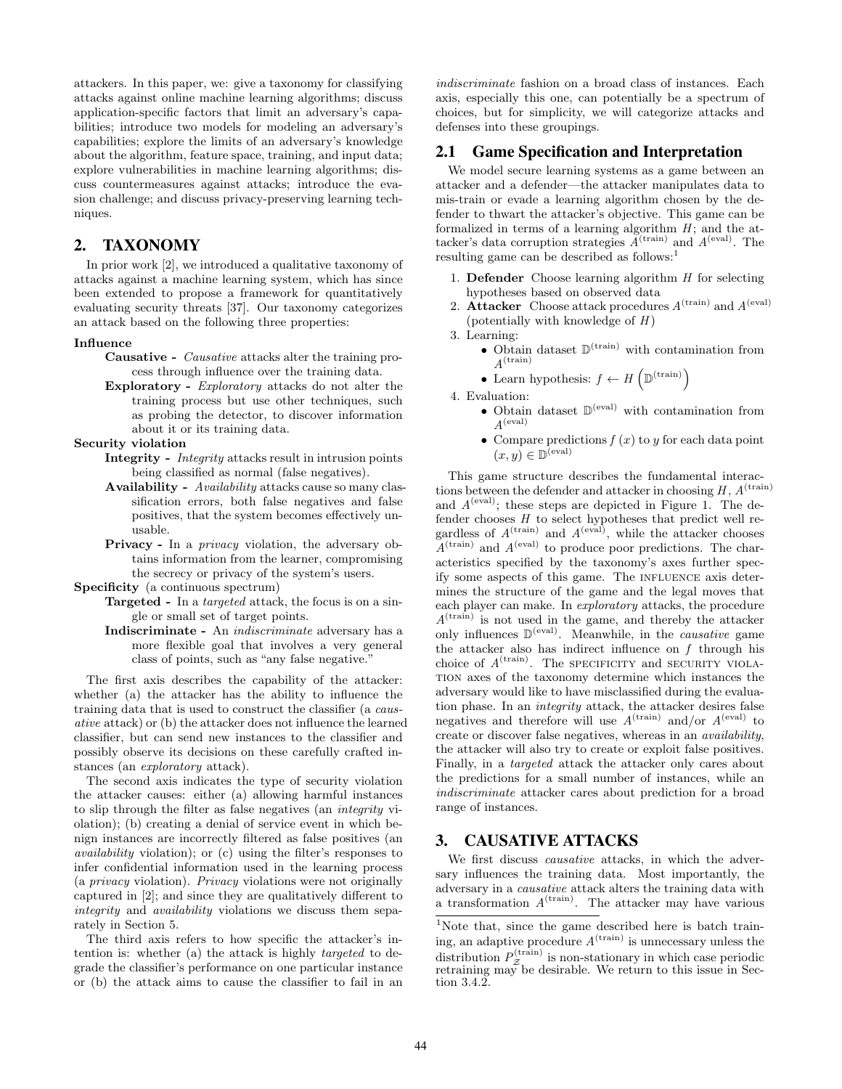attackers. In this paper, we: give a taxonomy for classifying attacks against online machine learning algorithms; discuss application-specific factors that limit an adversary's capabilities; introduce two models for modeling an adversary's capabilities; explore the limits of an adversary's knowledge about the algorithm, feature space, training, and input data; explore vulnerabilities in machine learning algorithms; discuss countermeasures against attacks; introduce the evasion challenge; and discuss privacy-preserving learning techniques.

# **2. TAXONOMY**

In prior work [2], we introduced a qualitative taxonomy of attacks against a machine learning system, which has since been extended to propose a framework for quantitatively evaluating security threats [37]. Our taxonomy categorizes an attack based on the following three properties:

#### Influence

- Causative Causative attacks alter the training process through influence over the training data.
- Exploratory Exploratory attacks do not alter the training process but use other techniques, such as probing the detector, to discover information about it or its training data.

#### Security violation

- Integrity Integrity attacks result in intrusion points being classified as normal (false negatives).
- Availability Availability attacks cause so many classification errors, both false negatives and false positives, that the system becomes effectively unusable.
- Privacy In a privacy violation, the adversary obtains information from the learner, compromising the secrecy or privacy of the system's users.

Specificity (a continuous spectrum)

- Targeted In a targeted attack, the focus is on a single or small set of target points.
	- Indiscriminate An indiscriminate adversary has a more flexible goal that involves a very general class of points, such as "any false negative."

The first axis describes the capability of the attacker: whether (a) the attacker has the ability to influence the training data that is used to construct the classifier (a causative attack) or (b) the attacker does not influence the learned classifier, but can send new instances to the classifier and possibly observe its decisions on these carefully crafted instances (an exploratory attack).

The second axis indicates the type of security violation the attacker causes: either (a) allowing harmful instances to slip through the filter as false negatives (an integrity violation); (b) creating a denial of service event in which benign instances are incorrectly filtered as false positives (an availability violation); or (c) using the filter's responses to infer confidential information used in the learning process (a privacy violation). Privacy violations were not originally captured in [2]; and since they are qualitatively different to integrity and *availability* violations we discuss them separately in Section 5.

The third axis refers to how specific the attacker's intention is: whether (a) the attack is highly targeted to degrade the classifier's performance on one particular instance or (b) the attack aims to cause the classifier to fail in an

indiscriminate fashion on a broad class of instances. Each axis, especially this one, can potentially be a spectrum of choices, but for simplicity, we will categorize attacks and defenses into these groupings.

## **2.1 Game Specification and Interpretation**

We model secure learning systems as a game between an attacker and a defender—the attacker manipulates data to mis-train or evade a learning algorithm chosen by the defender to thwart the attacker's objective. This game can be formalized in terms of a learning algorithm  $H$ ; and the attacker's data corruption strategies  $A^{(\text{train})}$  and  $A^{(\text{eval})}$ . The resulting game can be described as follows:<sup>1</sup>

- 1. Defender Choose learning algorithm  $H$  for selecting hypotheses based on observed data
- 2. Attacker Choose attack procedures  $A^{(\text{train})}$  and  $A^{(\text{eval})}$ (potentially with knowledge of  $H$ )
- 3. Learning:
	- Obtain dataset  $\mathbb{D}^{(\text{train})}$  with contamination from  $A^{\text{(train)}}$
	- Learn hypothesis:  $f \leftarrow H\left(\mathbb{D}^{(\text{train})}\right)$

4. Evaluation:

- Obtain dataset  $\mathbb{D}^{(eval)}$  with contamination from  $A^{(eval)}$
- Compare predictions  $f(x)$  to y for each data point  $(x, y) \in \mathbb{D}^{(\text{eval})}$

This game structure describes the fundamental interactions between the defender and attacker in choosing  $H, A^{(\text{train})}$ and  $A^{(eval)}$ ; these steps are depicted in Figure 1. The defender chooses  $H$  to select hypotheses that predict well regardless of  $A^{(\text{train})}$  and  $A^{(\text{eval})}$ , while the attacker chooses  $A^{(train)}$  and  $A^{(eval)}$  to produce poor predictions. The characteristics specified by the taxonomy's axes further specify some aspects of this game. The influence axis determines the structure of the game and the legal moves that each player can make. In exploratory attacks, the procedure  $A^{(train)}$  is not used in the game, and thereby the attacker only influences  $\mathbb{D}^{(eval)}$ . Meanwhile, in the *causative* game the attacker also has indirect influence on  $f$  through his choice of  $A^{(\text{train})}$ . The SPECIFICITY and SECURITY VIOLAtion axes of the taxonomy determine which instances the adversary would like to have misclassified during the evaluation phase. In an integrity attack, the attacker desires false negatives and therefore will use  $A^{(\text{train})}$  and/or  $A^{(\text{eval})}$  to create or discover false negatives, whereas in an availability, the attacker will also try to create or exploit false positives. Finally, in a targeted attack the attacker only cares about the predictions for a small number of instances, while an indiscriminate attacker cares about prediction for a broad range of instances.

# **3. CAUSATIVE ATTACKS**

We first discuss *causative* attacks, in which the adversary influences the training data. Most importantly, the adversary in a causative attack alters the training data with a transformation  $A^{(\text{train})}$ . The attacker may have various

<sup>&</sup>lt;sup>1</sup>Note that, since the game described here is batch training, an adaptive procedure  $A^{(\text{train})}$  is unnecessary unless the distribution  $P_Z^{(train)}$  is non-stationary in which case periodic retraining may be desirable. We return to this issue in Section 3.4.2.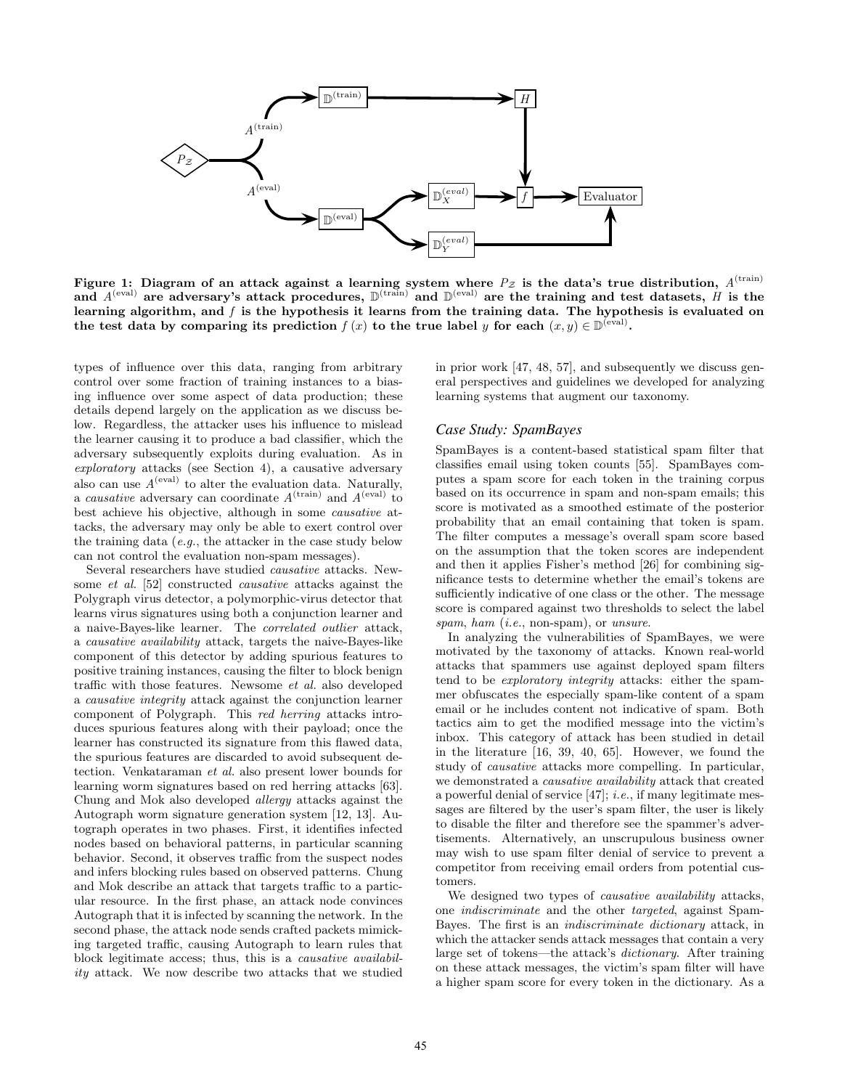

Figure 1: Diagram of an attack against a learning system where  $P_Z$  is the data's true distribution,  $A^{\text{(train)}}$ and  $A^{(eval)}$  are adversary's attack procedures,  $\mathbb{D}^{(train)}$  and  $\mathbb{D}^{(eval)}$  are the training and test datasets, H is the learning algorithm, and  $f$  is the hypothesis it learns from the training data. The hypothesis is evaluated on the test data by comparing its prediction  $f(x)$  to the true label y for each  $(x, y) \in \mathbb{D}^{\text{(eval)}}$ .

types of influence over this data, ranging from arbitrary control over some fraction of training instances to a biasing influence over some aspect of data production; these details depend largely on the application as we discuss below. Regardless, the attacker uses his influence to mislead the learner causing it to produce a bad classifier, which the adversary subsequently exploits during evaluation. As in exploratory attacks (see Section 4), a causative adversary also can use  $A^{(eval)}$  to alter the evaluation data. Naturally, a *causative* adversary can coordinate  $A^{(train)}$  and  $A^{(eval)}$  to best achieve his objective, although in some causative attacks, the adversary may only be able to exert control over the training data (e.g., the attacker in the case study below can not control the evaluation non-spam messages).

Several researchers have studied causative attacks. Newsome et al. [52] constructed causative attacks against the Polygraph virus detector, a polymorphic-virus detector that learns virus signatures using both a conjunction learner and a naive-Bayes-like learner. The correlated outlier attack, a causative availability attack, targets the naive-Bayes-like component of this detector by adding spurious features to positive training instances, causing the filter to block benign traffic with those features. Newsome et al. also developed a causative integrity attack against the conjunction learner component of Polygraph. This red herring attacks introduces spurious features along with their payload; once the learner has constructed its signature from this flawed data, the spurious features are discarded to avoid subsequent detection. Venkataraman et al. also present lower bounds for learning worm signatures based on red herring attacks [63]. Chung and Mok also developed allergy attacks against the Autograph worm signature generation system [12, 13]. Autograph operates in two phases. First, it identifies infected nodes based on behavioral patterns, in particular scanning behavior. Second, it observes traffic from the suspect nodes and infers blocking rules based on observed patterns. Chung and Mok describe an attack that targets traffic to a particular resource. In the first phase, an attack node convinces Autograph that it is infected by scanning the network. In the second phase, the attack node sends crafted packets mimicking targeted traffic, causing Autograph to learn rules that block legitimate access; thus, this is a causative availability attack. We now describe two attacks that we studied

in prior work [47, 48, 57], and subsequently we discuss general perspectives and guidelines we developed for analyzing learning systems that augment our taxonomy.

#### *Case Study: SpamBayes*

SpamBayes is a content-based statistical spam filter that classifies email using token counts [55]. SpamBayes computes a spam score for each token in the training corpus based on its occurrence in spam and non-spam emails; this score is motivated as a smoothed estimate of the posterior probability that an email containing that token is spam. The filter computes a message's overall spam score based on the assumption that the token scores are independent and then it applies Fisher's method [26] for combining significance tests to determine whether the email's tokens are sufficiently indicative of one class or the other. The message score is compared against two thresholds to select the label spam, ham (*i.e.*, non-spam), or *unsure*.

In analyzing the vulnerabilities of SpamBayes, we were motivated by the taxonomy of attacks. Known real-world attacks that spammers use against deployed spam filters tend to be exploratory integrity attacks: either the spammer obfuscates the especially spam-like content of a spam email or he includes content not indicative of spam. Both tactics aim to get the modified message into the victim's inbox. This category of attack has been studied in detail in the literature [16, 39, 40, 65]. However, we found the study of causative attacks more compelling. In particular, we demonstrated a causative availability attack that created a powerful denial of service  $[47]$ ; *i.e.*, if many legitimate messages are filtered by the user's spam filter, the user is likely to disable the filter and therefore see the spammer's advertisements. Alternatively, an unscrupulous business owner may wish to use spam filter denial of service to prevent a competitor from receiving email orders from potential customers.

We designed two types of *causative availability* attacks, one indiscriminate and the other targeted, against Spam-Bayes. The first is an indiscriminate dictionary attack, in which the attacker sends attack messages that contain a very large set of tokens—the attack's dictionary. After training on these attack messages, the victim's spam filter will have a higher spam score for every token in the dictionary. As a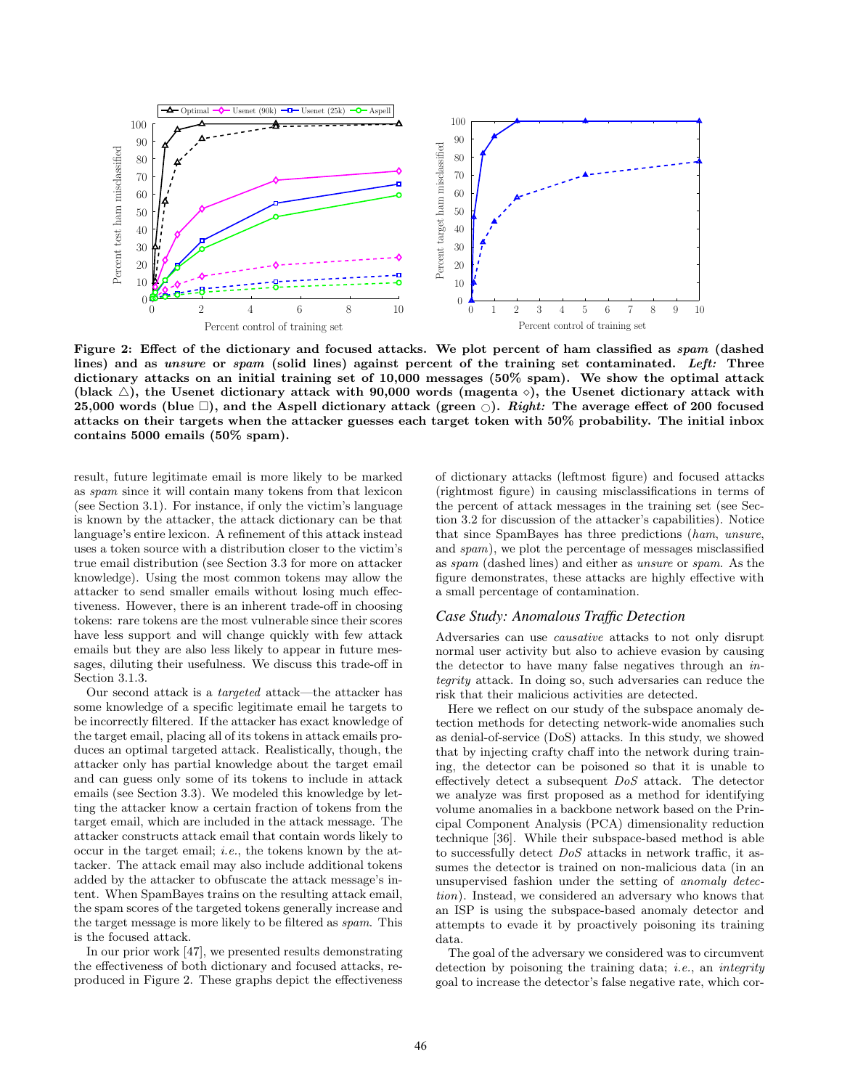

Figure 2: Effect of the dictionary and focused attacks. We plot percent of ham classified as *spam* (dashed lines) and as *unsure* or *spam* (solid lines) against percent of the training set contaminated. *Left:* Three dictionary attacks on an initial training set of 10,000 messages (50% spam). We show the optimal attack (black  $\triangle$ ), the Usenet dictionary attack with 90,000 words (magenta  $\diamond$ ), the Usenet dictionary attack with 25,000 words (blue  $\Box$ ), and the Aspell dictionary attack (green  $\Diamond$ ). *Right:* The average effect of 200 focused attacks on their targets when the attacker guesses each target token with 50% probability. The initial inbox contains 5000 emails (50% spam).

result, future legitimate email is more likely to be marked as spam since it will contain many tokens from that lexicon (see Section 3.1). For instance, if only the victim's language is known by the attacker, the attack dictionary can be that language's entire lexicon. A refinement of this attack instead uses a token source with a distribution closer to the victim's true email distribution (see Section 3.3 for more on attacker knowledge). Using the most common tokens may allow the attacker to send smaller emails without losing much effectiveness. However, there is an inherent trade-off in choosing tokens: rare tokens are the most vulnerable since their scores have less support and will change quickly with few attack emails but they are also less likely to appear in future messages, diluting their usefulness. We discuss this trade-off in Section 3.1.3.

Our second attack is a targeted attack—the attacker has some knowledge of a specific legitimate email he targets to be incorrectly filtered. If the attacker has exact knowledge of the target email, placing all of its tokens in attack emails produces an optimal targeted attack. Realistically, though, the attacker only has partial knowledge about the target email and can guess only some of its tokens to include in attack emails (see Section 3.3). We modeled this knowledge by letting the attacker know a certain fraction of tokens from the target email, which are included in the attack message. The attacker constructs attack email that contain words likely to occur in the target email; i.e., the tokens known by the attacker. The attack email may also include additional tokens added by the attacker to obfuscate the attack message's intent. When SpamBayes trains on the resulting attack email, the spam scores of the targeted tokens generally increase and the target message is more likely to be filtered as spam. This is the focused attack.

In our prior work [47], we presented results demonstrating the effectiveness of both dictionary and focused attacks, reproduced in Figure 2. These graphs depict the effectiveness

of dictionary attacks (leftmost figure) and focused attacks (rightmost figure) in causing misclassifications in terms of the percent of attack messages in the training set (see Section 3.2 for discussion of the attacker's capabilities). Notice that since SpamBayes has three predictions (ham, unsure, and spam), we plot the percentage of messages misclassified as spam (dashed lines) and either as unsure or spam. As the figure demonstrates, these attacks are highly effective with a small percentage of contamination.

#### *Case Study: Anomalous Traffic Detection*

Adversaries can use causative attacks to not only disrupt normal user activity but also to achieve evasion by causing the detector to have many false negatives through an integrity attack. In doing so, such adversaries can reduce the risk that their malicious activities are detected.

Here we reflect on our study of the subspace anomaly detection methods for detecting network-wide anomalies such as denial-of-service (DoS) attacks. In this study, we showed that by injecting crafty chaff into the network during training, the detector can be poisoned so that it is unable to effectively detect a subsequent DoS attack. The detector we analyze was first proposed as a method for identifying volume anomalies in a backbone network based on the Principal Component Analysis (PCA) dimensionality reduction technique [36]. While their subspace-based method is able to successfully detect DoS attacks in network traffic, it assumes the detector is trained on non-malicious data (in an unsupervised fashion under the setting of anomaly detection). Instead, we considered an adversary who knows that an ISP is using the subspace-based anomaly detector and attempts to evade it by proactively poisoning its training data.

The goal of the adversary we considered was to circumvent detection by poisoning the training data; *i.e.*, an *integrity* goal to increase the detector's false negative rate, which cor-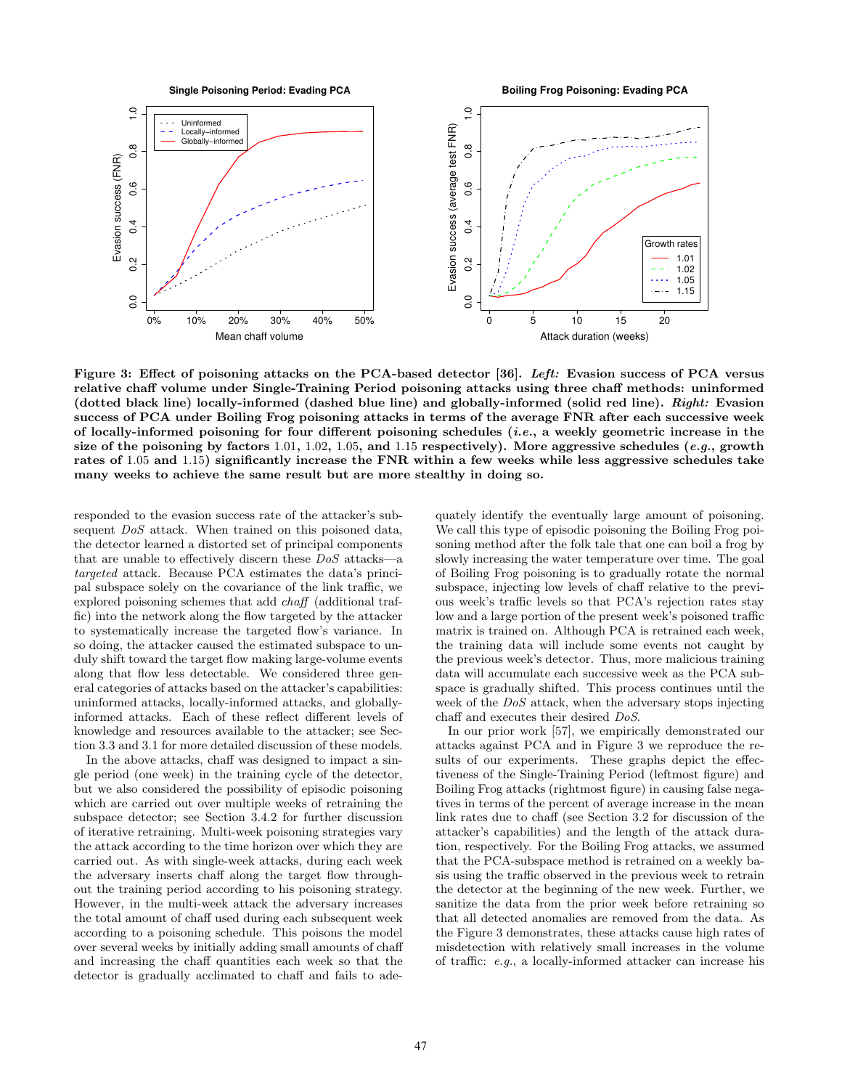

Figure 3: Effect of poisoning attacks on the PCA-based detector [36]. *Left:* Evasion success of PCA versus relative chaff volume under Single-Training Period poisoning attacks using three chaff methods: uninformed (dotted black line) locally-informed (dashed blue line) and globally-informed (solid red line). *Right:* Evasion success of PCA under Boiling Frog poisoning attacks in terms of the average FNR after each successive week of locally-informed poisoning for four different poisoning schedules (*i.e.*, a weekly geometric increase in the size of the poisoning by factors 1.01, 1.02, 1.05, and 1.15 respectively). More aggressive schedules (*e.g.*, growth rates of 1.05 and 1.15) significantly increase the FNR within a few weeks while less aggressive schedules take many weeks to achieve the same result but are more stealthy in doing so.

responded to the evasion success rate of the attacker's subsequent  $DoS$  attack. When trained on this poisoned data, the detector learned a distorted set of principal components that are unable to effectively discern these DoS attacks—a targeted attack. Because PCA estimates the data's principal subspace solely on the covariance of the link traffic, we explored poisoning schemes that add chaff (additional traffic) into the network along the flow targeted by the attacker to systematically increase the targeted flow's variance. In so doing, the attacker caused the estimated subspace to unduly shift toward the target flow making large-volume events along that flow less detectable. We considered three general categories of attacks based on the attacker's capabilities: uninformed attacks, locally-informed attacks, and globallyinformed attacks. Each of these reflect different levels of knowledge and resources available to the attacker; see Section 3.3 and 3.1 for more detailed discussion of these models.

In the above attacks, chaff was designed to impact a single period (one week) in the training cycle of the detector, but we also considered the possibility of episodic poisoning which are carried out over multiple weeks of retraining the subspace detector; see Section 3.4.2 for further discussion of iterative retraining. Multi-week poisoning strategies vary the attack according to the time horizon over which they are carried out. As with single-week attacks, during each week the adversary inserts chaff along the target flow throughout the training period according to his poisoning strategy. However, in the multi-week attack the adversary increases the total amount of chaff used during each subsequent week according to a poisoning schedule. This poisons the model over several weeks by initially adding small amounts of chaff and increasing the chaff quantities each week so that the detector is gradually acclimated to chaff and fails to adequately identify the eventually large amount of poisoning. We call this type of episodic poisoning the Boiling Frog poisoning method after the folk tale that one can boil a frog by slowly increasing the water temperature over time. The goal of Boiling Frog poisoning is to gradually rotate the normal subspace, injecting low levels of chaff relative to the previous week's traffic levels so that PCA's rejection rates stay low and a large portion of the present week's poisoned traffic matrix is trained on. Although PCA is retrained each week, the training data will include some events not caught by the previous week's detector. Thus, more malicious training data will accumulate each successive week as the PCA subspace is gradually shifted. This process continues until the week of the  $DoS$  attack, when the adversary stops injecting chaff and executes their desired DoS.

In our prior work [57], we empirically demonstrated our attacks against PCA and in Figure 3 we reproduce the results of our experiments. These graphs depict the effectiveness of the Single-Training Period (leftmost figure) and Boiling Frog attacks (rightmost figure) in causing false negatives in terms of the percent of average increase in the mean link rates due to chaff (see Section 3.2 for discussion of the attacker's capabilities) and the length of the attack duration, respectively. For the Boiling Frog attacks, we assumed that the PCA-subspace method is retrained on a weekly basis using the traffic observed in the previous week to retrain the detector at the beginning of the new week. Further, we sanitize the data from the prior week before retraining so that all detected anomalies are removed from the data. As the Figure 3 demonstrates, these attacks cause high rates of misdetection with relatively small increases in the volume of traffic: e.g., a locally-informed attacker can increase his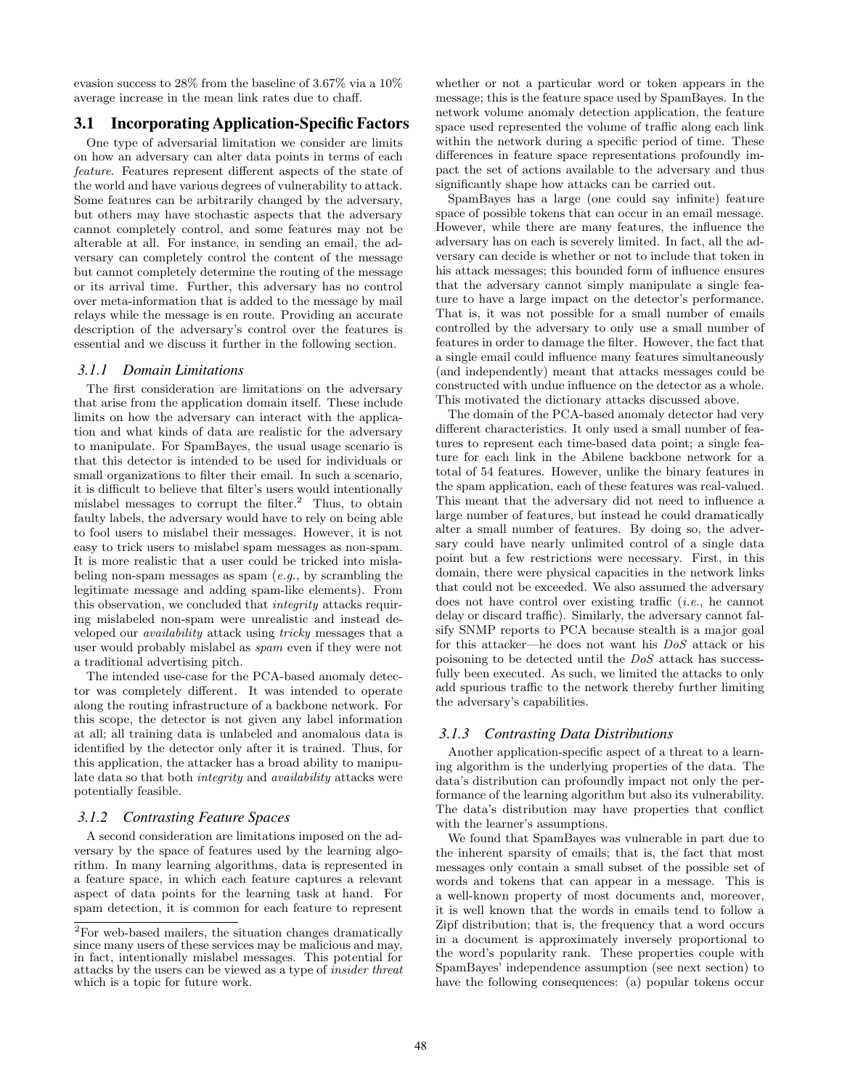evasion success to 28% from the baseline of 3.67% via a 10% average increase in the mean link rates due to chaff.

# **3.1 Incorporating Application-Specific Factors**

One type of adversarial limitation we consider are limits on how an adversary can alter data points in terms of each feature. Features represent different aspects of the state of the world and have various degrees of vulnerability to attack. Some features can be arbitrarily changed by the adversary, but others may have stochastic aspects that the adversary cannot completely control, and some features may not be alterable at all. For instance, in sending an email, the adversary can completely control the content of the message but cannot completely determine the routing of the message or its arrival time. Further, this adversary has no control over meta-information that is added to the message by mail relays while the message is en route. Providing an accurate description of the adversary's control over the features is essential and we discuss it further in the following section.

#### *3.1.1 Domain Limitations*

The first consideration are limitations on the adversary that arise from the application domain itself. These include limits on how the adversary can interact with the application and what kinds of data are realistic for the adversary to manipulate. For SpamBayes, the usual usage scenario is that this detector is intended to be used for individuals or small organizations to filter their email. In such a scenario, it is difficult to believe that filter's users would intentionally mislabel messages to corrupt the filter. $^2$  Thus, to obtain faulty labels, the adversary would have to rely on being able to fool users to mislabel their messages. However, it is not easy to trick users to mislabel spam messages as non-spam. It is more realistic that a user could be tricked into mislabeling non-spam messages as spam  $(e.g., by scrambling the$ legitimate message and adding spam-like elements). From this observation, we concluded that integrity attacks requiring mislabeled non-spam were unrealistic and instead developed our availability attack using tricky messages that a user would probably mislabel as spam even if they were not a traditional advertising pitch.

The intended use-case for the PCA-based anomaly detector was completely different. It was intended to operate along the routing infrastructure of a backbone network. For this scope, the detector is not given any label information at all; all training data is unlabeled and anomalous data is identified by the detector only after it is trained. Thus, for this application, the attacker has a broad ability to manipulate data so that both integrity and availability attacks were potentially feasible.

#### *3.1.2 Contrasting Feature Spaces*

A second consideration are limitations imposed on the adversary by the space of features used by the learning algorithm. In many learning algorithms, data is represented in a feature space, in which each feature captures a relevant aspect of data points for the learning task at hand. For spam detection, it is common for each feature to represent

whether or not a particular word or token appears in the message; this is the feature space used by SpamBayes. In the network volume anomaly detection application, the feature space used represented the volume of traffic along each link within the network during a specific period of time. These differences in feature space representations profoundly impact the set of actions available to the adversary and thus significantly shape how attacks can be carried out.

SpamBayes has a large (one could say infinite) feature space of possible tokens that can occur in an email message. However, while there are many features, the influence the adversary has on each is severely limited. In fact, all the adversary can decide is whether or not to include that token in his attack messages; this bounded form of influence ensures that the adversary cannot simply manipulate a single feature to have a large impact on the detector's performance. That is, it was not possible for a small number of emails controlled by the adversary to only use a small number of features in order to damage the filter. However, the fact that a single email could influence many features simultaneously (and independently) meant that attacks messages could be constructed with undue influence on the detector as a whole. This motivated the dictionary attacks discussed above.

The domain of the PCA-based anomaly detector had very different characteristics. It only used a small number of features to represent each time-based data point; a single feature for each link in the Abilene backbone network for a total of 54 features. However, unlike the binary features in the spam application, each of these features was real-valued. This meant that the adversary did not need to influence a large number of features, but instead he could dramatically alter a small number of features. By doing so, the adversary could have nearly unlimited control of a single data point but a few restrictions were necessary. First, in this domain, there were physical capacities in the network links that could not be exceeded. We also assumed the adversary does not have control over existing traffic (i.e., he cannot delay or discard traffic). Similarly, the adversary cannot falsify SNMP reports to PCA because stealth is a major goal for this attacker—he does not want his DoS attack or his poisoning to be detected until the DoS attack has successfully been executed. As such, we limited the attacks to only add spurious traffic to the network thereby further limiting the adversary's capabilities.

## *3.1.3 Contrasting Data Distributions*

Another application-specific aspect of a threat to a learning algorithm is the underlying properties of the data. The data's distribution can profoundly impact not only the performance of the learning algorithm but also its vulnerability. The data's distribution may have properties that conflict with the learner's assumptions.

We found that SpamBayes was vulnerable in part due to the inherent sparsity of emails; that is, the fact that most messages only contain a small subset of the possible set of words and tokens that can appear in a message. This is a well-known property of most documents and, moreover, it is well known that the words in emails tend to follow a Zipf distribution; that is, the frequency that a word occurs in a document is approximately inversely proportional to the word's popularity rank. These properties couple with SpamBayes' independence assumption (see next section) to have the following consequences: (a) popular tokens occur

 ${}^{2}$ For web-based mailers, the situation changes dramatically since many users of these services may be malicious and may, in fact, intentionally mislabel messages. This potential for attacks by the users can be viewed as a type of insider threat which is a topic for future work.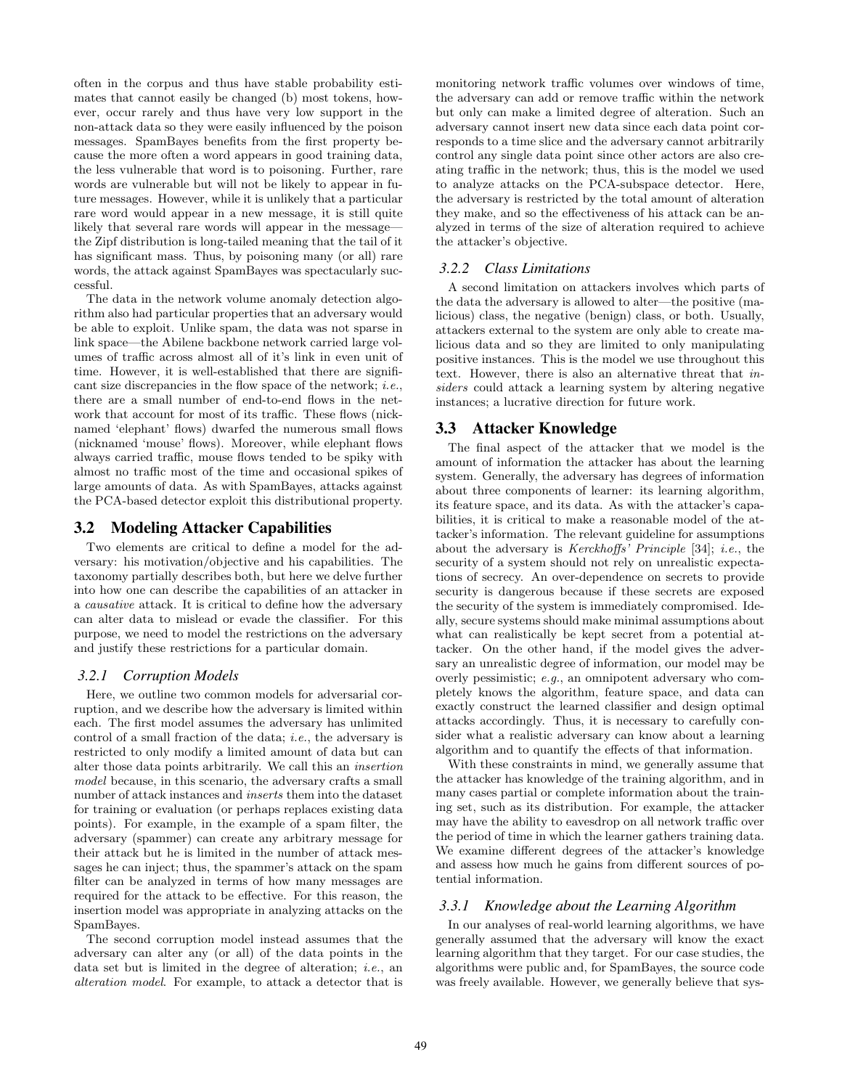often in the corpus and thus have stable probability estimates that cannot easily be changed (b) most tokens, however, occur rarely and thus have very low support in the non-attack data so they were easily influenced by the poison messages. SpamBayes benefits from the first property because the more often a word appears in good training data, the less vulnerable that word is to poisoning. Further, rare words are vulnerable but will not be likely to appear in future messages. However, while it is unlikely that a particular rare word would appear in a new message, it is still quite likely that several rare words will appear in the message the Zipf distribution is long-tailed meaning that the tail of it has significant mass. Thus, by poisoning many (or all) rare words, the attack against SpamBayes was spectacularly successful.

The data in the network volume anomaly detection algorithm also had particular properties that an adversary would be able to exploit. Unlike spam, the data was not sparse in link space—the Abilene backbone network carried large volumes of traffic across almost all of it's link in even unit of time. However, it is well-established that there are significant size discrepancies in the flow space of the network;  $i.e.,$ there are a small number of end-to-end flows in the network that account for most of its traffic. These flows (nicknamed 'elephant' flows) dwarfed the numerous small flows (nicknamed 'mouse' flows). Moreover, while elephant flows always carried traffic, mouse flows tended to be spiky with almost no traffic most of the time and occasional spikes of large amounts of data. As with SpamBayes, attacks against the PCA-based detector exploit this distributional property.

## **3.2 Modeling Attacker Capabilities**

Two elements are critical to define a model for the adversary: his motivation/objective and his capabilities. The taxonomy partially describes both, but here we delve further into how one can describe the capabilities of an attacker in a causative attack. It is critical to define how the adversary can alter data to mislead or evade the classifier. For this purpose, we need to model the restrictions on the adversary and justify these restrictions for a particular domain.

#### *3.2.1 Corruption Models*

Here, we outline two common models for adversarial corruption, and we describe how the adversary is limited within each. The first model assumes the adversary has unlimited control of a small fraction of the data; i.e., the adversary is restricted to only modify a limited amount of data but can alter those data points arbitrarily. We call this an insertion model because, in this scenario, the adversary crafts a small number of attack instances and inserts them into the dataset for training or evaluation (or perhaps replaces existing data points). For example, in the example of a spam filter, the adversary (spammer) can create any arbitrary message for their attack but he is limited in the number of attack messages he can inject; thus, the spammer's attack on the spam filter can be analyzed in terms of how many messages are required for the attack to be effective. For this reason, the insertion model was appropriate in analyzing attacks on the SpamBayes.

The second corruption model instead assumes that the adversary can alter any (or all) of the data points in the data set but is limited in the degree of alteration; *i.e.*, an alteration model. For example, to attack a detector that is

monitoring network traffic volumes over windows of time, the adversary can add or remove traffic within the network but only can make a limited degree of alteration. Such an adversary cannot insert new data since each data point corresponds to a time slice and the adversary cannot arbitrarily control any single data point since other actors are also creating traffic in the network; thus, this is the model we used to analyze attacks on the PCA-subspace detector. Here, the adversary is restricted by the total amount of alteration they make, and so the effectiveness of his attack can be analyzed in terms of the size of alteration required to achieve the attacker's objective.

## *3.2.2 Class Limitations*

A second limitation on attackers involves which parts of the data the adversary is allowed to alter—the positive (malicious) class, the negative (benign) class, or both. Usually, attackers external to the system are only able to create malicious data and so they are limited to only manipulating positive instances. This is the model we use throughout this text. However, there is also an alternative threat that insiders could attack a learning system by altering negative instances; a lucrative direction for future work.

## **3.3 Attacker Knowledge**

The final aspect of the attacker that we model is the amount of information the attacker has about the learning system. Generally, the adversary has degrees of information about three components of learner: its learning algorithm, its feature space, and its data. As with the attacker's capabilities, it is critical to make a reasonable model of the attacker's information. The relevant guideline for assumptions about the adversary is Kerckhoffs' Principle [34]; i.e., the security of a system should not rely on unrealistic expectations of secrecy. An over-dependence on secrets to provide security is dangerous because if these secrets are exposed the security of the system is immediately compromised. Ideally, secure systems should make minimal assumptions about what can realistically be kept secret from a potential attacker. On the other hand, if the model gives the adversary an unrealistic degree of information, our model may be overly pessimistic; e.g., an omnipotent adversary who completely knows the algorithm, feature space, and data can exactly construct the learned classifier and design optimal attacks accordingly. Thus, it is necessary to carefully consider what a realistic adversary can know about a learning algorithm and to quantify the effects of that information.

With these constraints in mind, we generally assume that the attacker has knowledge of the training algorithm, and in many cases partial or complete information about the training set, such as its distribution. For example, the attacker may have the ability to eavesdrop on all network traffic over the period of time in which the learner gathers training data. We examine different degrees of the attacker's knowledge and assess how much he gains from different sources of potential information.

#### *3.3.1 Knowledge about the Learning Algorithm*

In our analyses of real-world learning algorithms, we have generally assumed that the adversary will know the exact learning algorithm that they target. For our case studies, the algorithms were public and, for SpamBayes, the source code was freely available. However, we generally believe that sys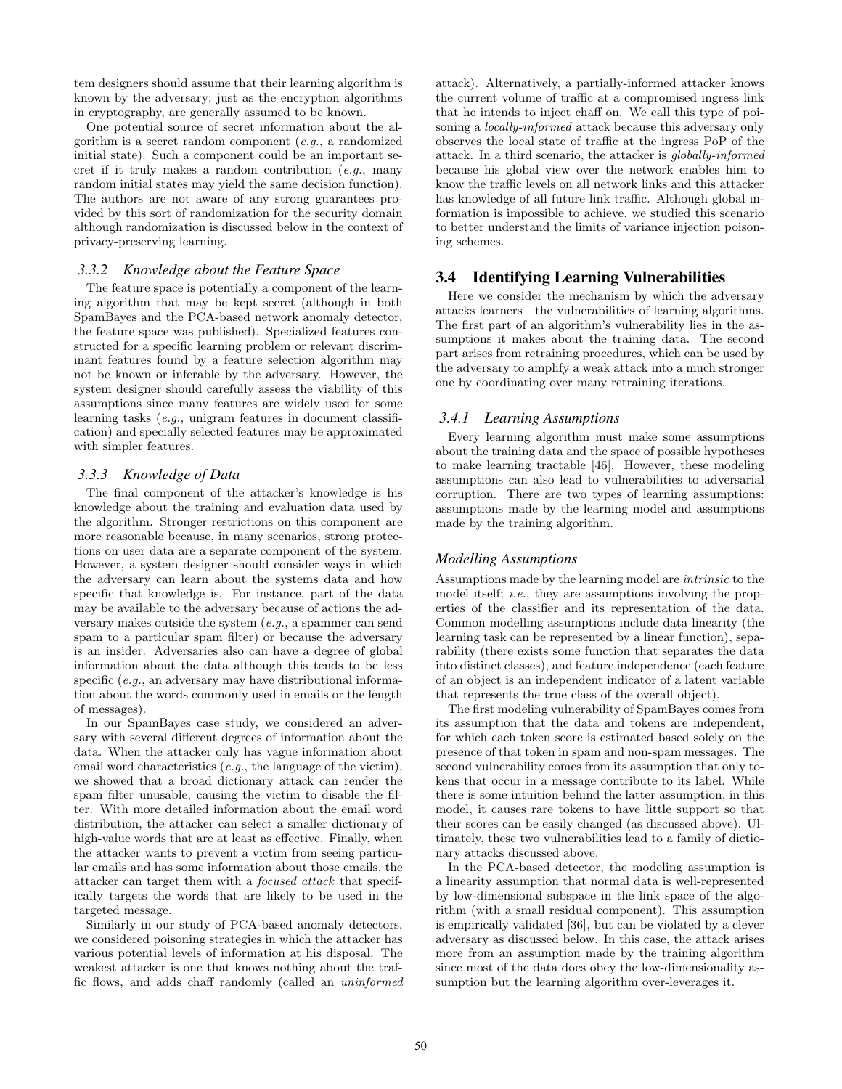tem designers should assume that their learning algorithm is known by the adversary; just as the encryption algorithms in cryptography, are generally assumed to be known.

One potential source of secret information about the algorithm is a secret random component  $(e,q, a$  randomized initial state). Such a component could be an important secret if it truly makes a random contribution (e.g., many random initial states may yield the same decision function). The authors are not aware of any strong guarantees provided by this sort of randomization for the security domain although randomization is discussed below in the context of privacy-preserving learning.

#### *3.3.2 Knowledge about the Feature Space*

The feature space is potentially a component of the learning algorithm that may be kept secret (although in both SpamBayes and the PCA-based network anomaly detector, the feature space was published). Specialized features constructed for a specific learning problem or relevant discriminant features found by a feature selection algorithm may not be known or inferable by the adversary. However, the system designer should carefully assess the viability of this assumptions since many features are widely used for some learning tasks (e.g., unigram features in document classification) and specially selected features may be approximated with simpler features.

## *3.3.3 Knowledge of Data*

The final component of the attacker's knowledge is his knowledge about the training and evaluation data used by the algorithm. Stronger restrictions on this component are more reasonable because, in many scenarios, strong protections on user data are a separate component of the system. However, a system designer should consider ways in which the adversary can learn about the systems data and how specific that knowledge is. For instance, part of the data may be available to the adversary because of actions the adversary makes outside the system (e.g., a spammer can send spam to a particular spam filter) or because the adversary is an insider. Adversaries also can have a degree of global information about the data although this tends to be less specific (e.g., an adversary may have distributional information about the words commonly used in emails or the length of messages).

In our SpamBayes case study, we considered an adversary with several different degrees of information about the data. When the attacker only has vague information about email word characteristics (e.g., the language of the victim), we showed that a broad dictionary attack can render the spam filter unusable, causing the victim to disable the filter. With more detailed information about the email word distribution, the attacker can select a smaller dictionary of high-value words that are at least as effective. Finally, when the attacker wants to prevent a victim from seeing particular emails and has some information about those emails, the attacker can target them with a focused attack that specifically targets the words that are likely to be used in the targeted message.

Similarly in our study of PCA-based anomaly detectors, we considered poisoning strategies in which the attacker has various potential levels of information at his disposal. The weakest attacker is one that knows nothing about the traffic flows, and adds chaff randomly (called an uninformed attack). Alternatively, a partially-informed attacker knows the current volume of traffic at a compromised ingress link that he intends to inject chaff on. We call this type of poisoning a locally-informed attack because this adversary only observes the local state of traffic at the ingress PoP of the attack. In a third scenario, the attacker is globally-informed because his global view over the network enables him to know the traffic levels on all network links and this attacker has knowledge of all future link traffic. Although global information is impossible to achieve, we studied this scenario to better understand the limits of variance injection poisoning schemes.

## **3.4 Identifying Learning Vulnerabilities**

Here we consider the mechanism by which the adversary attacks learners—the vulnerabilities of learning algorithms. The first part of an algorithm's vulnerability lies in the assumptions it makes about the training data. The second part arises from retraining procedures, which can be used by the adversary to amplify a weak attack into a much stronger one by coordinating over many retraining iterations.

#### *3.4.1 Learning Assumptions*

Every learning algorithm must make some assumptions about the training data and the space of possible hypotheses to make learning tractable [46]. However, these modeling assumptions can also lead to vulnerabilities to adversarial corruption. There are two types of learning assumptions: assumptions made by the learning model and assumptions made by the training algorithm.

#### *Modelling Assumptions*

Assumptions made by the learning model are intrinsic to the model itself; *i.e.*, they are assumptions involving the properties of the classifier and its representation of the data. Common modelling assumptions include data linearity (the learning task can be represented by a linear function), separability (there exists some function that separates the data into distinct classes), and feature independence (each feature of an object is an independent indicator of a latent variable that represents the true class of the overall object).

The first modeling vulnerability of SpamBayes comes from its assumption that the data and tokens are independent, for which each token score is estimated based solely on the presence of that token in spam and non-spam messages. The second vulnerability comes from its assumption that only tokens that occur in a message contribute to its label. While there is some intuition behind the latter assumption, in this model, it causes rare tokens to have little support so that their scores can be easily changed (as discussed above). Ultimately, these two vulnerabilities lead to a family of dictionary attacks discussed above.

In the PCA-based detector, the modeling assumption is a linearity assumption that normal data is well-represented by low-dimensional subspace in the link space of the algorithm (with a small residual component). This assumption is empirically validated [36], but can be violated by a clever adversary as discussed below. In this case, the attack arises more from an assumption made by the training algorithm since most of the data does obey the low-dimensionality assumption but the learning algorithm over-leverages it.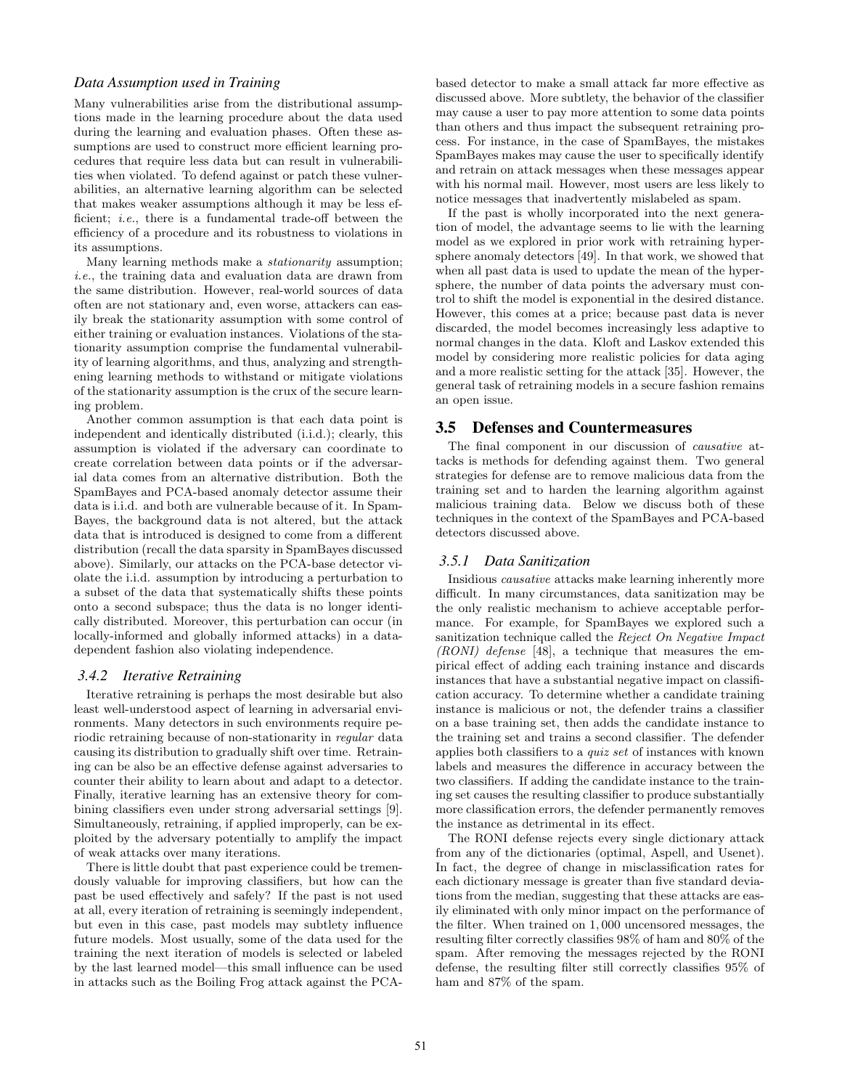#### *Data Assumption used in Training*

Many vulnerabilities arise from the distributional assumptions made in the learning procedure about the data used during the learning and evaluation phases. Often these assumptions are used to construct more efficient learning procedures that require less data but can result in vulnerabilities when violated. To defend against or patch these vulnerabilities, an alternative learning algorithm can be selected that makes weaker assumptions although it may be less efficient; i.e., there is a fundamental trade-off between the efficiency of a procedure and its robustness to violations in its assumptions.

Many learning methods make a stationarity assumption; i.e., the training data and evaluation data are drawn from the same distribution. However, real-world sources of data often are not stationary and, even worse, attackers can easily break the stationarity assumption with some control of either training or evaluation instances. Violations of the stationarity assumption comprise the fundamental vulnerability of learning algorithms, and thus, analyzing and strengthening learning methods to withstand or mitigate violations of the stationarity assumption is the crux of the secure learning problem.

Another common assumption is that each data point is independent and identically distributed (i.i.d.); clearly, this assumption is violated if the adversary can coordinate to create correlation between data points or if the adversarial data comes from an alternative distribution. Both the SpamBayes and PCA-based anomaly detector assume their data is i.i.d. and both are vulnerable because of it. In Spam-Bayes, the background data is not altered, but the attack data that is introduced is designed to come from a different distribution (recall the data sparsity in SpamBayes discussed above). Similarly, our attacks on the PCA-base detector violate the i.i.d. assumption by introducing a perturbation to a subset of the data that systematically shifts these points onto a second subspace; thus the data is no longer identically distributed. Moreover, this perturbation can occur (in locally-informed and globally informed attacks) in a datadependent fashion also violating independence.

#### *3.4.2 Iterative Retraining*

Iterative retraining is perhaps the most desirable but also least well-understood aspect of learning in adversarial environments. Many detectors in such environments require periodic retraining because of non-stationarity in regular data causing its distribution to gradually shift over time. Retraining can be also be an effective defense against adversaries to counter their ability to learn about and adapt to a detector. Finally, iterative learning has an extensive theory for combining classifiers even under strong adversarial settings [9]. Simultaneously, retraining, if applied improperly, can be exploited by the adversary potentially to amplify the impact of weak attacks over many iterations.

There is little doubt that past experience could be tremendously valuable for improving classifiers, but how can the past be used effectively and safely? If the past is not used at all, every iteration of retraining is seemingly independent, but even in this case, past models may subtlety influence future models. Most usually, some of the data used for the training the next iteration of models is selected or labeled by the last learned model—this small influence can be used in attacks such as the Boiling Frog attack against the PCA-

based detector to make a small attack far more effective as discussed above. More subtlety, the behavior of the classifier may cause a user to pay more attention to some data points than others and thus impact the subsequent retraining process. For instance, in the case of SpamBayes, the mistakes SpamBayes makes may cause the user to specifically identify and retrain on attack messages when these messages appear with his normal mail. However, most users are less likely to notice messages that inadvertently mislabeled as spam.

If the past is wholly incorporated into the next generation of model, the advantage seems to lie with the learning model as we explored in prior work with retraining hypersphere anomaly detectors [49]. In that work, we showed that when all past data is used to update the mean of the hypersphere, the number of data points the adversary must control to shift the model is exponential in the desired distance. However, this comes at a price; because past data is never discarded, the model becomes increasingly less adaptive to normal changes in the data. Kloft and Laskov extended this model by considering more realistic policies for data aging and a more realistic setting for the attack [35]. However, the general task of retraining models in a secure fashion remains an open issue.

#### **3.5 Defenses and Countermeasures**

The final component in our discussion of causative attacks is methods for defending against them. Two general strategies for defense are to remove malicious data from the training set and to harden the learning algorithm against malicious training data. Below we discuss both of these techniques in the context of the SpamBayes and PCA-based detectors discussed above.

#### *3.5.1 Data Sanitization*

Insidious causative attacks make learning inherently more difficult. In many circumstances, data sanitization may be the only realistic mechanism to achieve acceptable performance. For example, for SpamBayes we explored such a sanitization technique called the Reject On Negative Impact (RONI) defense [48], a technique that measures the empirical effect of adding each training instance and discards instances that have a substantial negative impact on classification accuracy. To determine whether a candidate training instance is malicious or not, the defender trains a classifier on a base training set, then adds the candidate instance to the training set and trains a second classifier. The defender applies both classifiers to a quiz set of instances with known labels and measures the difference in accuracy between the two classifiers. If adding the candidate instance to the training set causes the resulting classifier to produce substantially more classification errors, the defender permanently removes the instance as detrimental in its effect.

The RONI defense rejects every single dictionary attack from any of the dictionaries (optimal, Aspell, and Usenet). In fact, the degree of change in misclassification rates for each dictionary message is greater than five standard deviations from the median, suggesting that these attacks are easily eliminated with only minor impact on the performance of the filter. When trained on 1, 000 uncensored messages, the resulting filter correctly classifies 98% of ham and 80% of the spam. After removing the messages rejected by the RONI defense, the resulting filter still correctly classifies 95% of ham and 87% of the spam.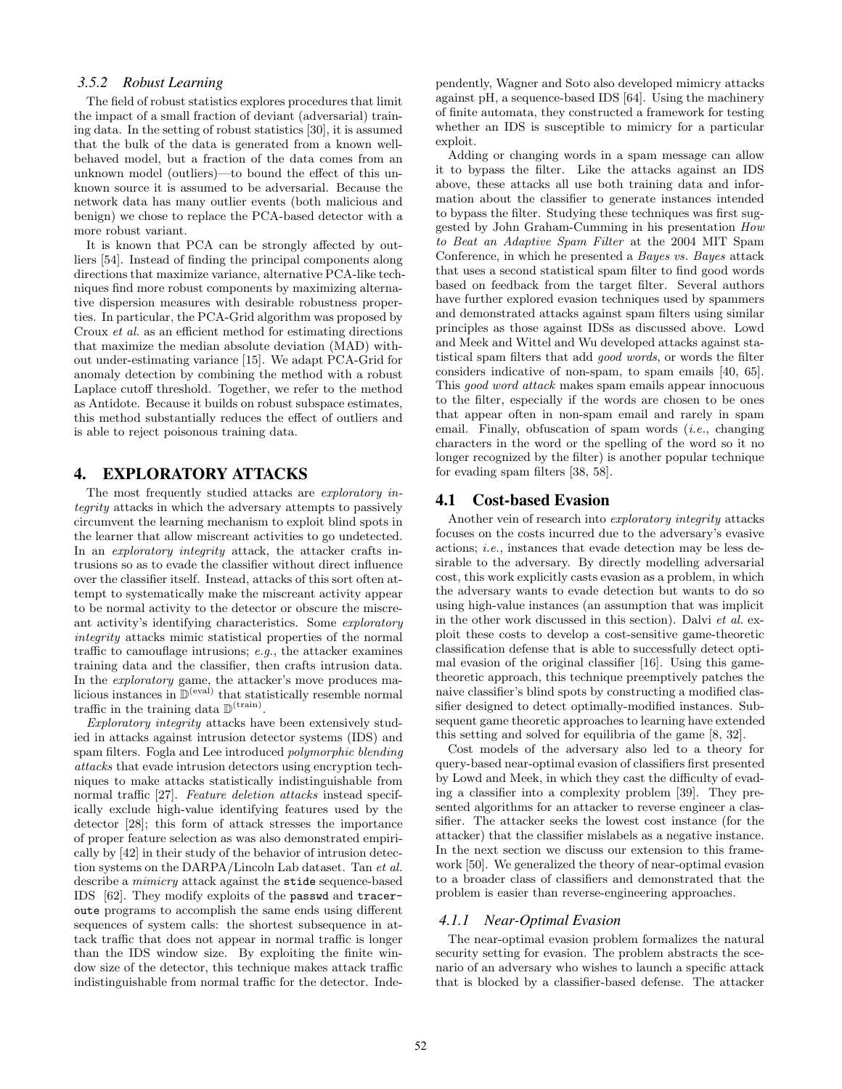## *3.5.2 Robust Learning*

The field of robust statistics explores procedures that limit the impact of a small fraction of deviant (adversarial) training data. In the setting of robust statistics [30], it is assumed that the bulk of the data is generated from a known wellbehaved model, but a fraction of the data comes from an unknown model (outliers)—to bound the effect of this unknown source it is assumed to be adversarial. Because the network data has many outlier events (both malicious and benign) we chose to replace the PCA-based detector with a more robust variant.

It is known that PCA can be strongly affected by outliers [54]. Instead of finding the principal components along directions that maximize variance, alternative PCA-like techniques find more robust components by maximizing alternative dispersion measures with desirable robustness properties. In particular, the PCA-Grid algorithm was proposed by Croux et al. as an efficient method for estimating directions that maximize the median absolute deviation (MAD) without under-estimating variance [15]. We adapt PCA-Grid for anomaly detection by combining the method with a robust Laplace cutoff threshold. Together, we refer to the method as Antidote. Because it builds on robust subspace estimates, this method substantially reduces the effect of outliers and is able to reject poisonous training data.

## **4. EXPLORATORY ATTACKS**

The most frequently studied attacks are exploratory integrity attacks in which the adversary attempts to passively circumvent the learning mechanism to exploit blind spots in the learner that allow miscreant activities to go undetected. In an *exploratory integrity* attack, the attacker crafts intrusions so as to evade the classifier without direct influence over the classifier itself. Instead, attacks of this sort often attempt to systematically make the miscreant activity appear to be normal activity to the detector or obscure the miscreant activity's identifying characteristics. Some exploratory integrity attacks mimic statistical properties of the normal traffic to camouflage intrusions; e.g., the attacker examines training data and the classifier, then crafts intrusion data. In the *exploratory* game, the attacker's move produces malicious instances in  $\mathbb{D}^{(eval)}$  that statistically resemble normal traffic in the training data  $\mathbb{D}^{(\text{train})}$ .

Exploratory integrity attacks have been extensively studied in attacks against intrusion detector systems (IDS) and spam filters. Fogla and Lee introduced polymorphic blending attacks that evade intrusion detectors using encryption techniques to make attacks statistically indistinguishable from normal traffic [27]. Feature deletion attacks instead specifically exclude high-value identifying features used by the detector [28]; this form of attack stresses the importance of proper feature selection as was also demonstrated empirically by [42] in their study of the behavior of intrusion detection systems on the DARPA/Lincoln Lab dataset. Tan et al. describe a mimicry attack against the stide sequence-based IDS [62]. They modify exploits of the passwd and traceroute programs to accomplish the same ends using different sequences of system calls: the shortest subsequence in attack traffic that does not appear in normal traffic is longer than the IDS window size. By exploiting the finite window size of the detector, this technique makes attack traffic indistinguishable from normal traffic for the detector. Independently, Wagner and Soto also developed mimicry attacks against pH, a sequence-based IDS [64]. Using the machinery of finite automata, they constructed a framework for testing whether an IDS is susceptible to mimicry for a particular exploit.

Adding or changing words in a spam message can allow it to bypass the filter. Like the attacks against an IDS above, these attacks all use both training data and information about the classifier to generate instances intended to bypass the filter. Studying these techniques was first suggested by John Graham-Cumming in his presentation How to Beat an Adaptive Spam Filter at the 2004 MIT Spam Conference, in which he presented a Bayes vs. Bayes attack that uses a second statistical spam filter to find good words based on feedback from the target filter. Several authors have further explored evasion techniques used by spammers and demonstrated attacks against spam filters using similar principles as those against IDSs as discussed above. Lowd and Meek and Wittel and Wu developed attacks against statistical spam filters that add good words, or words the filter considers indicative of non-spam, to spam emails [40, 65]. This good word attack makes spam emails appear innocuous to the filter, especially if the words are chosen to be ones that appear often in non-spam email and rarely in spam email. Finally, obfuscation of spam words *(i.e.*, changing characters in the word or the spelling of the word so it no longer recognized by the filter) is another popular technique for evading spam filters [38, 58].

# **4.1 Cost-based Evasion**

Another vein of research into exploratory integrity attacks focuses on the costs incurred due to the adversary's evasive actions; i.e., instances that evade detection may be less desirable to the adversary. By directly modelling adversarial cost, this work explicitly casts evasion as a problem, in which the adversary wants to evade detection but wants to do so using high-value instances (an assumption that was implicit in the other work discussed in this section). Dalvi et al. exploit these costs to develop a cost-sensitive game-theoretic classification defense that is able to successfully detect optimal evasion of the original classifier [16]. Using this gametheoretic approach, this technique preemptively patches the naive classifier's blind spots by constructing a modified classifier designed to detect optimally-modified instances. Subsequent game theoretic approaches to learning have extended this setting and solved for equilibria of the game [8, 32].

Cost models of the adversary also led to a theory for query-based near-optimal evasion of classifiers first presented by Lowd and Meek, in which they cast the difficulty of evading a classifier into a complexity problem [39]. They presented algorithms for an attacker to reverse engineer a classifier. The attacker seeks the lowest cost instance (for the attacker) that the classifier mislabels as a negative instance. In the next section we discuss our extension to this framework [50]. We generalized the theory of near-optimal evasion to a broader class of classifiers and demonstrated that the problem is easier than reverse-engineering approaches.

## *4.1.1 Near-Optimal Evasion*

The near-optimal evasion problem formalizes the natural security setting for evasion. The problem abstracts the scenario of an adversary who wishes to launch a specific attack that is blocked by a classifier-based defense. The attacker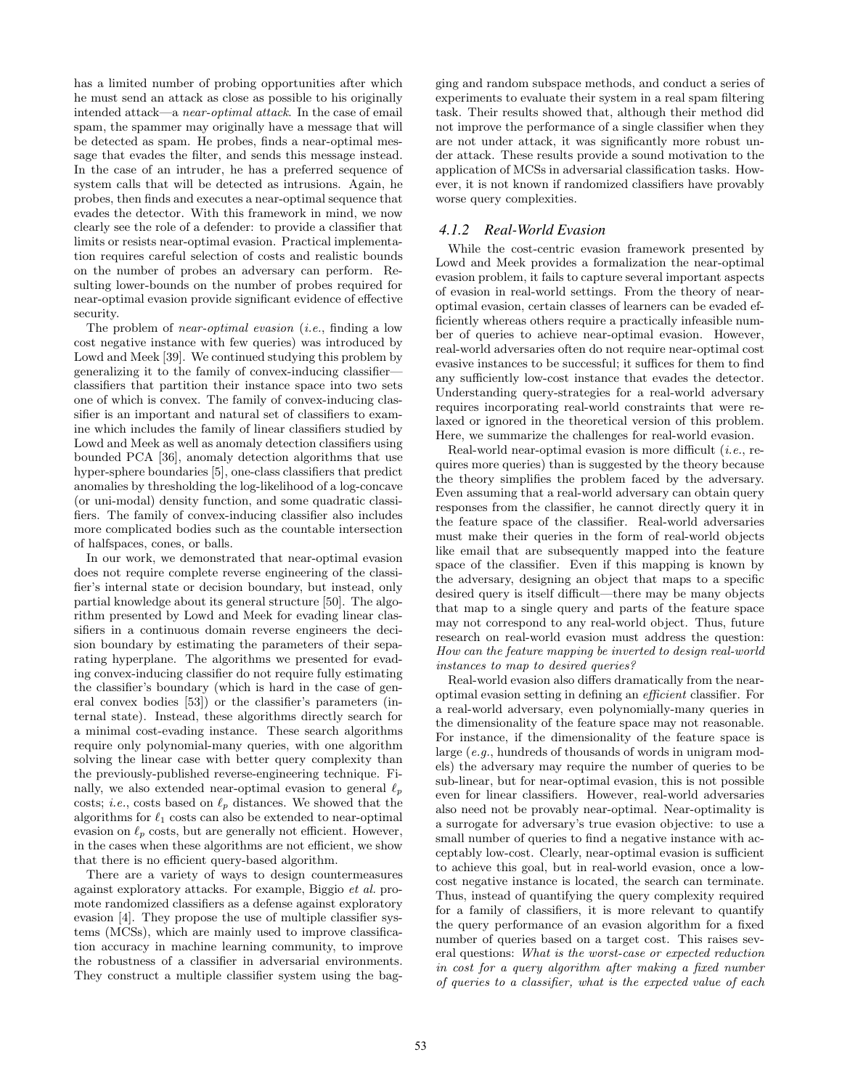has a limited number of probing opportunities after which he must send an attack as close as possible to his originally intended attack—a near-optimal attack. In the case of email spam, the spammer may originally have a message that will be detected as spam. He probes, finds a near-optimal message that evades the filter, and sends this message instead. In the case of an intruder, he has a preferred sequence of system calls that will be detected as intrusions. Again, he probes, then finds and executes a near-optimal sequence that evades the detector. With this framework in mind, we now clearly see the role of a defender: to provide a classifier that limits or resists near-optimal evasion. Practical implementation requires careful selection of costs and realistic bounds on the number of probes an adversary can perform. Resulting lower-bounds on the number of probes required for near-optimal evasion provide significant evidence of effective security.

The problem of *near-optimal evasion* (*i.e.*, finding a low cost negative instance with few queries) was introduced by Lowd and Meek [39]. We continued studying this problem by generalizing it to the family of convex-inducing classifier classifiers that partition their instance space into two sets one of which is convex. The family of convex-inducing classifier is an important and natural set of classifiers to examine which includes the family of linear classifiers studied by Lowd and Meek as well as anomaly detection classifiers using bounded PCA [36], anomaly detection algorithms that use hyper-sphere boundaries [5], one-class classifiers that predict anomalies by thresholding the log-likelihood of a log-concave (or uni-modal) density function, and some quadratic classifiers. The family of convex-inducing classifier also includes more complicated bodies such as the countable intersection of halfspaces, cones, or balls.

In our work, we demonstrated that near-optimal evasion does not require complete reverse engineering of the classifier's internal state or decision boundary, but instead, only partial knowledge about its general structure [50]. The algorithm presented by Lowd and Meek for evading linear classifiers in a continuous domain reverse engineers the decision boundary by estimating the parameters of their separating hyperplane. The algorithms we presented for evading convex-inducing classifier do not require fully estimating the classifier's boundary (which is hard in the case of general convex bodies [53]) or the classifier's parameters (internal state). Instead, these algorithms directly search for a minimal cost-evading instance. These search algorithms require only polynomial-many queries, with one algorithm solving the linear case with better query complexity than the previously-published reverse-engineering technique. Finally, we also extended near-optimal evasion to general  $\ell_p$ costs; *i.e.*, costs based on  $\ell_p$  distances. We showed that the algorithms for  $\ell_1$  costs can also be extended to near-optimal evasion on  $\ell_p$  costs, but are generally not efficient. However, in the cases when these algorithms are not efficient, we show that there is no efficient query-based algorithm.

There are a variety of ways to design countermeasures against exploratory attacks. For example, Biggio et al. promote randomized classifiers as a defense against exploratory evasion [4]. They propose the use of multiple classifier systems (MCSs), which are mainly used to improve classification accuracy in machine learning community, to improve the robustness of a classifier in adversarial environments. They construct a multiple classifier system using the bagging and random subspace methods, and conduct a series of experiments to evaluate their system in a real spam filtering task. Their results showed that, although their method did not improve the performance of a single classifier when they are not under attack, it was significantly more robust under attack. These results provide a sound motivation to the application of MCSs in adversarial classification tasks. However, it is not known if randomized classifiers have provably worse query complexities.

## *4.1.2 Real-World Evasion*

While the cost-centric evasion framework presented by Lowd and Meek provides a formalization the near-optimal evasion problem, it fails to capture several important aspects of evasion in real-world settings. From the theory of nearoptimal evasion, certain classes of learners can be evaded efficiently whereas others require a practically infeasible number of queries to achieve near-optimal evasion. However, real-world adversaries often do not require near-optimal cost evasive instances to be successful; it suffices for them to find any sufficiently low-cost instance that evades the detector. Understanding query-strategies for a real-world adversary requires incorporating real-world constraints that were relaxed or ignored in the theoretical version of this problem. Here, we summarize the challenges for real-world evasion.

Real-world near-optimal evasion is more difficult (i.e., requires more queries) than is suggested by the theory because the theory simplifies the problem faced by the adversary. Even assuming that a real-world adversary can obtain query responses from the classifier, he cannot directly query it in the feature space of the classifier. Real-world adversaries must make their queries in the form of real-world objects like email that are subsequently mapped into the feature space of the classifier. Even if this mapping is known by the adversary, designing an object that maps to a specific desired query is itself difficult—there may be many objects that map to a single query and parts of the feature space may not correspond to any real-world object. Thus, future research on real-world evasion must address the question: How can the feature mapping be inverted to design real-world instances to map to desired queries?

Real-world evasion also differs dramatically from the nearoptimal evasion setting in defining an efficient classifier. For a real-world adversary, even polynomially-many queries in the dimensionality of the feature space may not reasonable. For instance, if the dimensionality of the feature space is large (e.g., hundreds of thousands of words in unigram models) the adversary may require the number of queries to be sub-linear, but for near-optimal evasion, this is not possible even for linear classifiers. However, real-world adversaries also need not be provably near-optimal. Near-optimality is a surrogate for adversary's true evasion objective: to use a small number of queries to find a negative instance with acceptably low-cost. Clearly, near-optimal evasion is sufficient to achieve this goal, but in real-world evasion, once a lowcost negative instance is located, the search can terminate. Thus, instead of quantifying the query complexity required for a family of classifiers, it is more relevant to quantify the query performance of an evasion algorithm for a fixed number of queries based on a target cost. This raises several questions: What is the worst-case or expected reduction in cost for a query algorithm after making a fixed number of queries to a classifier, what is the expected value of each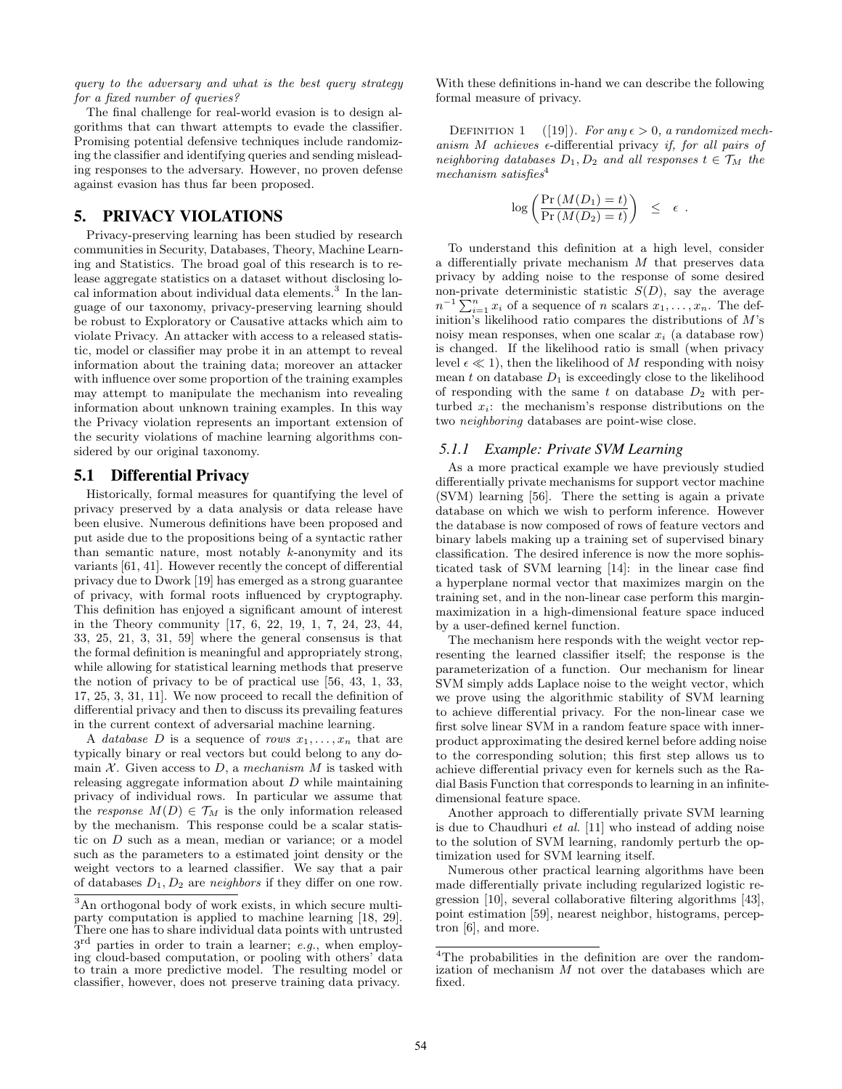query to the adversary and what is the best query strategy for a fixed number of queries?

The final challenge for real-world evasion is to design algorithms that can thwart attempts to evade the classifier. Promising potential defensive techniques include randomizing the classifier and identifying queries and sending misleading responses to the adversary. However, no proven defense against evasion has thus far been proposed.

# **5. PRIVACY VIOLATIONS**

Privacy-preserving learning has been studied by research communities in Security, Databases, Theory, Machine Learning and Statistics. The broad goal of this research is to release aggregate statistics on a dataset without disclosing local information about individual data elements.<sup>3</sup> In the language of our taxonomy, privacy-preserving learning should be robust to Exploratory or Causative attacks which aim to violate Privacy. An attacker with access to a released statistic, model or classifier may probe it in an attempt to reveal information about the training data; moreover an attacker with influence over some proportion of the training examples may attempt to manipulate the mechanism into revealing information about unknown training examples. In this way the Privacy violation represents an important extension of the security violations of machine learning algorithms considered by our original taxonomy.

# **5.1 Differential Privacy**

Historically, formal measures for quantifying the level of privacy preserved by a data analysis or data release have been elusive. Numerous definitions have been proposed and put aside due to the propositions being of a syntactic rather than semantic nature, most notably k-anonymity and its variants [61, 41]. However recently the concept of differential privacy due to Dwork [19] has emerged as a strong guarantee of privacy, with formal roots influenced by cryptography. This definition has enjoyed a significant amount of interest in the Theory community [17, 6, 22, 19, 1, 7, 24, 23, 44, 33, 25, 21, 3, 31, 59] where the general consensus is that the formal definition is meaningful and appropriately strong, while allowing for statistical learning methods that preserve the notion of privacy to be of practical use [56, 43, 1, 33, 17, 25, 3, 31, 11]. We now proceed to recall the definition of differential privacy and then to discuss its prevailing features in the current context of adversarial machine learning.

A *database* D is a sequence of rows  $x_1, \ldots, x_n$  that are typically binary or real vectors but could belong to any domain  $X$ . Given access to D, a mechanism M is tasked with releasing aggregate information about  $D$  while maintaining privacy of individual rows. In particular we assume that the response  $M(D) \in \mathcal{T}_M$  is the only information released by the mechanism. This response could be a scalar statistic on D such as a mean, median or variance; or a model such as the parameters to a estimated joint density or the weight vectors to a learned classifier. We say that a pair of databases  $D_1, D_2$  are *neighbors* if they differ on one row.

With these definitions in-hand we can describe the following formal measure of privacy.

DEFINITION 1 ([19]). For any  $\epsilon > 0$ , a randomized mechanism M achieves  $\epsilon$ -differential privacy *if, for all pairs of* neighboring databases  $D_1, D_2$  and all responses  $t \in \mathcal{T}_M$  the mechanism satisfies<sup>4</sup>

$$
\log\left(\frac{\Pr(M(D_1) = t)}{\Pr(M(D_2) = t)}\right) \leq \epsilon.
$$

To understand this definition at a high level, consider a differentially private mechanism M that preserves data privacy by adding noise to the response of some desired non-private deterministic statistic  $S(D)$ , say the average  $n^{-1} \sum_{i=1}^{n} x_i$  of a sequence of n scalars  $x_1, \ldots, x_n$ . The definition's likelihood ratio compares the distributions of  $M$ 's noisy mean responses, when one scalar  $x_i$  (a database row) is changed. If the likelihood ratio is small (when privacy level  $\epsilon \ll 1$ , then the likelihood of M responding with noisy mean t on database  $D_1$  is exceedingly close to the likelihood of responding with the same t on database  $D_2$  with perturbed  $x_i$ : the mechanism's response distributions on the two neighboring databases are point-wise close.

#### *5.1.1 Example: Private SVM Learning*

As a more practical example we have previously studied differentially private mechanisms for support vector machine (SVM) learning [56]. There the setting is again a private database on which we wish to perform inference. However the database is now composed of rows of feature vectors and binary labels making up a training set of supervised binary classification. The desired inference is now the more sophisticated task of SVM learning [14]: in the linear case find a hyperplane normal vector that maximizes margin on the training set, and in the non-linear case perform this marginmaximization in a high-dimensional feature space induced by a user-defined kernel function.

The mechanism here responds with the weight vector representing the learned classifier itself; the response is the parameterization of a function. Our mechanism for linear SVM simply adds Laplace noise to the weight vector, which we prove using the algorithmic stability of SVM learning to achieve differential privacy. For the non-linear case we first solve linear SVM in a random feature space with innerproduct approximating the desired kernel before adding noise to the corresponding solution; this first step allows us to achieve differential privacy even for kernels such as the Radial Basis Function that corresponds to learning in an infinitedimensional feature space.

Another approach to differentially private SVM learning is due to Chaudhuri et al. [11] who instead of adding noise to the solution of SVM learning, randomly perturb the optimization used for SVM learning itself.

Numerous other practical learning algorithms have been made differentially private including regularized logistic regression [10], several collaborative filtering algorithms [43], point estimation [59], nearest neighbor, histograms, perceptron [6], and more.

<sup>&</sup>lt;sup>3</sup>An orthogonal body of work exists, in which secure multiparty computation is applied to machine learning [18, 29]. There one has to share individual data points with untrusted

 $3<sup>rd</sup>$  parties in order to train a learner; e.g., when employing cloud-based computation, or pooling with others' data to train a more predictive model. The resulting model or classifier, however, does not preserve training data privacy.

<sup>4</sup>The probabilities in the definition are over the randomization of mechanism  $M$  not over the databases which are fixed.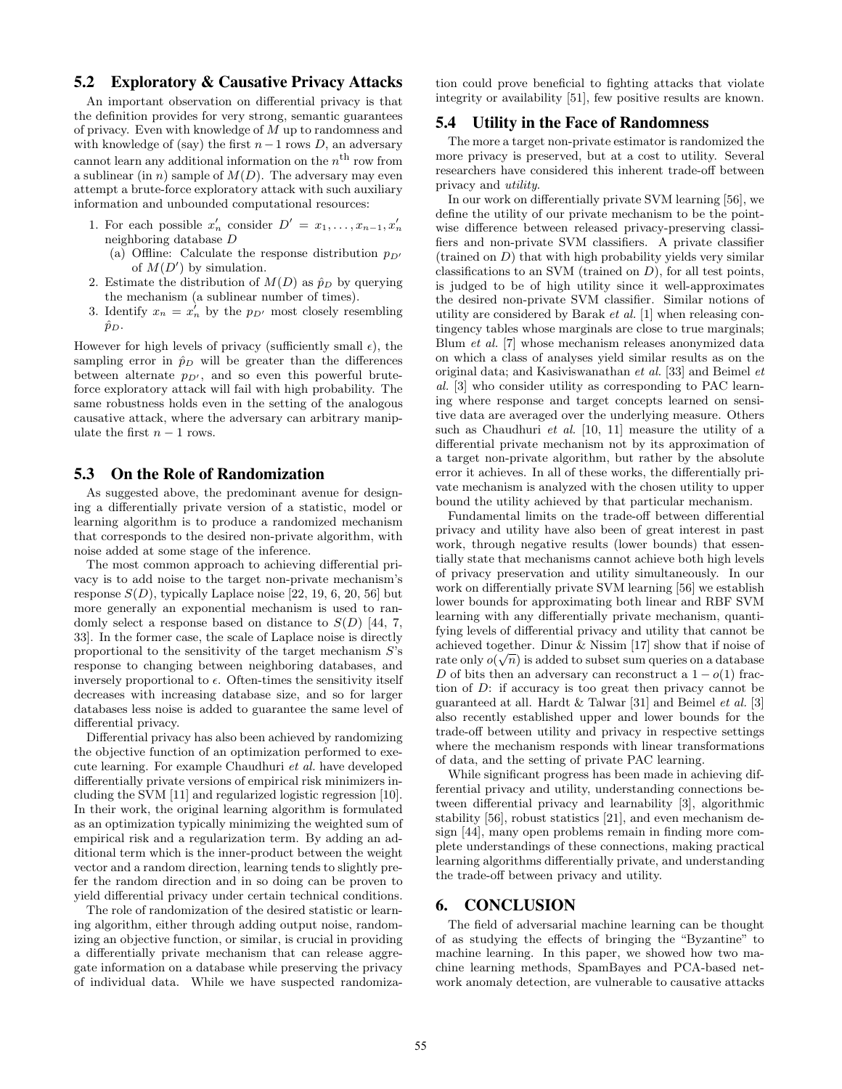# **5.2 Exploratory & Causative Privacy Attacks**

An important observation on differential privacy is that the definition provides for very strong, semantic guarantees of privacy. Even with knowledge of M up to randomness and with knowledge of (say) the first  $n-1$  rows D, an adversary cannot learn any additional information on the  $n<sup>th</sup>$  row from a sublinear (in  $n$ ) sample of  $M(D)$ . The adversary may even attempt a brute-force exploratory attack with such auxiliary information and unbounded computational resources:

- 1. For each possible  $x'_n$  consider  $D' = x_1, \ldots, x_{n-1}, x'_n$ neighboring database D
	- (a) Offline: Calculate the response distribution  $p_{D'}$ of  $M(D')$  by simulation.
- 2. Estimate the distribution of  $M(D)$  as  $\hat{p}_D$  by querying the mechanism (a sublinear number of times).
- 3. Identify  $x_n = x'_n$  by the  $p_{D'}$  most closely resembling  $\hat{p}_D$ .

However for high levels of privacy (sufficiently small  $\epsilon$ ), the sampling error in  $\hat{p}_D$  will be greater than the differences between alternate  $p_{D'}$ , and so even this powerful bruteforce exploratory attack will fail with high probability. The same robustness holds even in the setting of the analogous causative attack, where the adversary can arbitrary manipulate the first  $n - 1$  rows.

## **5.3 On the Role of Randomization**

As suggested above, the predominant avenue for designing a differentially private version of a statistic, model or learning algorithm is to produce a randomized mechanism that corresponds to the desired non-private algorithm, with noise added at some stage of the inference.

The most common approach to achieving differential privacy is to add noise to the target non-private mechanism's response  $S(D)$ , typically Laplace noise [22, 19, 6, 20, 56] but more generally an exponential mechanism is used to randomly select a response based on distance to  $S(D)$  [44, 7, 33]. In the former case, the scale of Laplace noise is directly proportional to the sensitivity of the target mechanism  $S$ 's response to changing between neighboring databases, and inversely proportional to  $\epsilon$ . Often-times the sensitivity itself decreases with increasing database size, and so for larger databases less noise is added to guarantee the same level of differential privacy.

Differential privacy has also been achieved by randomizing the objective function of an optimization performed to execute learning. For example Chaudhuri et al. have developed differentially private versions of empirical risk minimizers including the SVM [11] and regularized logistic regression [10]. In their work, the original learning algorithm is formulated as an optimization typically minimizing the weighted sum of empirical risk and a regularization term. By adding an additional term which is the inner-product between the weight vector and a random direction, learning tends to slightly prefer the random direction and in so doing can be proven to yield differential privacy under certain technical conditions.

The role of randomization of the desired statistic or learning algorithm, either through adding output noise, randomizing an objective function, or similar, is crucial in providing a differentially private mechanism that can release aggregate information on a database while preserving the privacy of individual data. While we have suspected randomization could prove beneficial to fighting attacks that violate integrity or availability [51], few positive results are known.

## **5.4 Utility in the Face of Randomness**

The more a target non-private estimator is randomized the more privacy is preserved, but at a cost to utility. Several researchers have considered this inherent trade-off between privacy and utility.

In our work on differentially private SVM learning [56], we define the utility of our private mechanism to be the pointwise difference between released privacy-preserving classifiers and non-private SVM classifiers. A private classifier  $($ trained on  $D)$  that with high probability yields very similar classifications to an SVM (trained on  $D$ ), for all test points, is judged to be of high utility since it well-approximates the desired non-private SVM classifier. Similar notions of utility are considered by Barak et al. [1] when releasing contingency tables whose marginals are close to true marginals; Blum et al. [7] whose mechanism releases anonymized data on which a class of analyses yield similar results as on the original data; and Kasiviswanathan et al. [33] and Beimel et al. [3] who consider utility as corresponding to PAC learning where response and target concepts learned on sensitive data are averaged over the underlying measure. Others such as Chaudhuri et al. [10, 11] measure the utility of a differential private mechanism not by its approximation of a target non-private algorithm, but rather by the absolute error it achieves. In all of these works, the differentially private mechanism is analyzed with the chosen utility to upper bound the utility achieved by that particular mechanism.

Fundamental limits on the trade-off between differential privacy and utility have also been of great interest in past work, through negative results (lower bounds) that essentially state that mechanisms cannot achieve both high levels of privacy preservation and utility simultaneously. In our work on differentially private SVM learning [56] we establish lower bounds for approximating both linear and RBF SVM learning with any differentially private mechanism, quantifying levels of differential privacy and utility that cannot be achieved together. Dinur & Nissim [17] show that if noise of rate only  $o(\sqrt{n})$  is added to subset sum queries on a database D of bits then an adversary can reconstruct a  $1 - o(1)$  fraction of D: if accuracy is too great then privacy cannot be guaranteed at all. Hardt & Talwar [31] and Beimel et al. [3] also recently established upper and lower bounds for the trade-off between utility and privacy in respective settings where the mechanism responds with linear transformations of data, and the setting of private PAC learning.

While significant progress has been made in achieving differential privacy and utility, understanding connections between differential privacy and learnability [3], algorithmic stability [56], robust statistics [21], and even mechanism design [44], many open problems remain in finding more complete understandings of these connections, making practical learning algorithms differentially private, and understanding the trade-off between privacy and utility.

## **6. CONCLUSION**

The field of adversarial machine learning can be thought of as studying the effects of bringing the "Byzantine" to machine learning. In this paper, we showed how two machine learning methods, SpamBayes and PCA-based network anomaly detection, are vulnerable to causative attacks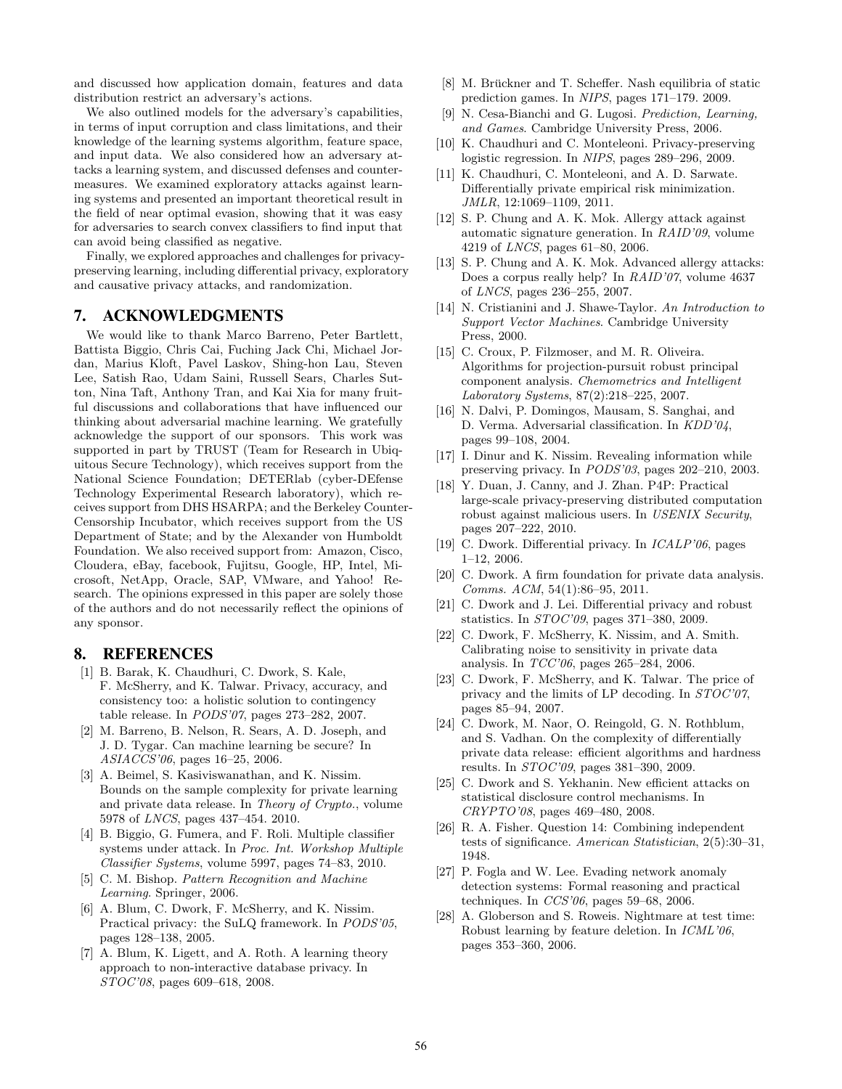and discussed how application domain, features and data distribution restrict an adversary's actions.

We also outlined models for the adversary's capabilities, in terms of input corruption and class limitations, and their knowledge of the learning systems algorithm, feature space, and input data. We also considered how an adversary attacks a learning system, and discussed defenses and countermeasures. We examined exploratory attacks against learning systems and presented an important theoretical result in the field of near optimal evasion, showing that it was easy for adversaries to search convex classifiers to find input that can avoid being classified as negative.

Finally, we explored approaches and challenges for privacypreserving learning, including differential privacy, exploratory and causative privacy attacks, and randomization.

# **7. ACKNOWLEDGMENTS**

We would like to thank Marco Barreno, Peter Bartlett, Battista Biggio, Chris Cai, Fuching Jack Chi, Michael Jordan, Marius Kloft, Pavel Laskov, Shing-hon Lau, Steven Lee, Satish Rao, Udam Saini, Russell Sears, Charles Sutton, Nina Taft, Anthony Tran, and Kai Xia for many fruitful discussions and collaborations that have influenced our thinking about adversarial machine learning. We gratefully acknowledge the support of our sponsors. This work was supported in part by TRUST (Team for Research in Ubiquitous Secure Technology), which receives support from the National Science Foundation; DETERlab (cyber-DEfense Technology Experimental Research laboratory), which receives support from DHS HSARPA; and the Berkeley Counter-Censorship Incubator, which receives support from the US Department of State; and by the Alexander von Humboldt Foundation. We also received support from: Amazon, Cisco, Cloudera, eBay, facebook, Fujitsu, Google, HP, Intel, Microsoft, NetApp, Oracle, SAP, VMware, and Yahoo! Research. The opinions expressed in this paper are solely those of the authors and do not necessarily reflect the opinions of any sponsor.

# **8. REFERENCES**

- [1] B. Barak, K. Chaudhuri, C. Dwork, S. Kale, F. McSherry, and K. Talwar. Privacy, accuracy, and consistency too: a holistic solution to contingency table release. In PODS'07, pages 273–282, 2007.
- [2] M. Barreno, B. Nelson, R. Sears, A. D. Joseph, and J. D. Tygar. Can machine learning be secure? In ASIACCS'06, pages 16–25, 2006.
- [3] A. Beimel, S. Kasiviswanathan, and K. Nissim. Bounds on the sample complexity for private learning and private data release. In Theory of Crypto., volume 5978 of LNCS, pages 437–454. 2010.
- [4] B. Biggio, G. Fumera, and F. Roli. Multiple classifier systems under attack. In Proc. Int. Workshop Multiple Classifier Systems, volume 5997, pages 74–83, 2010.
- [5] C. M. Bishop. Pattern Recognition and Machine Learning. Springer, 2006.
- [6] A. Blum, C. Dwork, F. McSherry, and K. Nissim. Practical privacy: the SuLQ framework. In PODS'05, pages 128–138, 2005.
- [7] A. Blum, K. Ligett, and A. Roth. A learning theory approach to non-interactive database privacy. In STOC'08, pages 609–618, 2008.
- [8] M. Brückner and T. Scheffer. Nash equilibria of static prediction games. In NIPS, pages 171–179. 2009.
- [9] N. Cesa-Bianchi and G. Lugosi. Prediction, Learning, and Games. Cambridge University Press, 2006.
- [10] K. Chaudhuri and C. Monteleoni. Privacy-preserving logistic regression. In NIPS, pages 289–296, 2009.
- [11] K. Chaudhuri, C. Monteleoni, and A. D. Sarwate. Differentially private empirical risk minimization. JMLR, 12:1069–1109, 2011.
- [12] S. P. Chung and A. K. Mok. Allergy attack against automatic signature generation. In RAID'09, volume 4219 of LNCS, pages 61–80, 2006.
- [13] S. P. Chung and A. K. Mok. Advanced allergy attacks: Does a corpus really help? In RAID'07, volume 4637 of LNCS, pages 236–255, 2007.
- [14] N. Cristianini and J. Shawe-Taylor. An Introduction to Support Vector Machines. Cambridge University Press, 2000.
- [15] C. Croux, P. Filzmoser, and M. R. Oliveira. Algorithms for projection-pursuit robust principal component analysis. Chemometrics and Intelligent Laboratory Systems, 87(2):218–225, 2007.
- [16] N. Dalvi, P. Domingos, Mausam, S. Sanghai, and D. Verma. Adversarial classification. In KDD'04, pages 99–108, 2004.
- [17] I. Dinur and K. Nissim. Revealing information while preserving privacy. In PODS'03, pages 202–210, 2003.
- [18] Y. Duan, J. Canny, and J. Zhan. P4P: Practical large-scale privacy-preserving distributed computation robust against malicious users. In USENIX Security, pages 207–222, 2010.
- [19] C. Dwork. Differential privacy. In ICALP'06, pages 1–12, 2006.
- [20] C. Dwork. A firm foundation for private data analysis. Comms. ACM, 54(1):86–95, 2011.
- [21] C. Dwork and J. Lei. Differential privacy and robust statistics. In STOC'09, pages 371–380, 2009.
- [22] C. Dwork, F. McSherry, K. Nissim, and A. Smith. Calibrating noise to sensitivity in private data analysis. In TCC'06, pages 265–284, 2006.
- [23] C. Dwork, F. McSherry, and K. Talwar. The price of privacy and the limits of LP decoding. In STOC'07, pages 85–94, 2007.
- [24] C. Dwork, M. Naor, O. Reingold, G. N. Rothblum, and S. Vadhan. On the complexity of differentially private data release: efficient algorithms and hardness results. In STOC'09, pages 381–390, 2009.
- [25] C. Dwork and S. Yekhanin. New efficient attacks on statistical disclosure control mechanisms. In CRYPTO'08, pages 469–480, 2008.
- [26] R. A. Fisher. Question 14: Combining independent tests of significance. American Statistician, 2(5):30–31, 1948.
- [27] P. Fogla and W. Lee. Evading network anomaly detection systems: Formal reasoning and practical techniques. In  $CCS'06$ , pages 59–68, 2006.
- [28] A. Globerson and S. Roweis. Nightmare at test time: Robust learning by feature deletion. In ICML'06, pages 353–360, 2006.